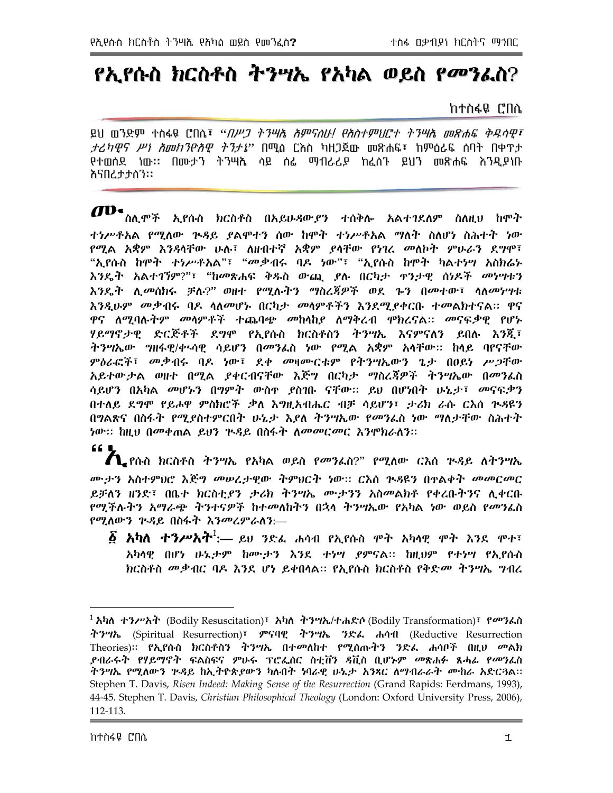# የኢየሱስ ክርስቶስ ትንሣኤ የአካል ወይስ የ*መን*ፌስ?

#### ከተስፋዬ ሮበሴ

ይህ መንድም ተስፋዬ ሮበሴ፣ *"በሥጋ ትንሣሴ አምናስሁ! የአስተምህሮተ ትንሣሴ መጽሐፍ ቅዱሳዊ፣ ታሪካዊና ሥነ አመከገዮአዊ ትገታኔ*" በሚል ርእስ ካዘጋጀው መጽሐፍ፣ ከምዕራፍ ሰባት በቀ**ዋ**ታ የተወሰደ ነው። በሙታን ትንሣሌ ሳይ ሰፌ ማብራሪያ ከፈሰጉ ይህን መጽሐፍ እንዲያነቡ እናበረታታስን።

 $\boldsymbol{d}$ D ስሊሞች ኢየሱስ ክርስቶስ በአይሁዳውያን ተሰቅሎ አልተገደለም ስለዚህ ከሞት ተነሥቶአል የሚለው ጕዳይ ያልሞተን ሰው ከሞት ተነሥቶአል ማለት ስለሆነ ስሕተት ነው የሚል አቋም እንዳሳቸው ሁሉ፣ ለዘብተኛ አቋም *ያ*ሳቸው የነገረ መለኮት ምሁራን ደ*ግ*ሞ፣ "ኢየሱስ ከሞት ተነሥቶአል"፣ "መቃብሩ ባዶ ነው"፣ "ኢየሱስ ከሞት ካልተነሣ አስክሬኑ እንዴት አልተገኘም?"፣ "ከመጽሐፍ ቅዱስ ውጪ ያሉ በርካታ ዋንታዊ ሰነዶች *መነሣ*ቱን እንዴት ሊመሰክሩ ቻሉ?" ወዘተ የሚሉተን ማስረጃዎች ወደ ኈን በመተው፣ ላለመሃሣቱ <u>እንዲሁም መቃብሩ ባዶ ላለመሆኑ በርካታ መላምቶችን እንደሚያቀርቡ ተመልክተናል። ዋና</u> ዋና ለሚባሉትም መሳምቶች ተጨባጭ መከሳከ*ያ* ለማቅረብ ሞክረናል። መናፍቃዊ የሆኑ ሃይማኖታዊ ድርጅቶች ደግሞ የኢየሱስ ክርስቶስን ትንሣኤ እናምናለን ይበሉ እንጂ፣ ትንሣኤው ግዘፋዊ/ቀ፡ሳዊ ሳይሆን በመንፌስ ነው የሚል አቋም አሳቸው፡፡ ከላይ ባየናቸው ምዕራፎች፣ መቃብሩ ባዶ ነው፣ ደቀ መዛሙርቱም የተንሣኤውን ጌታ በዐይነ ሥጋቸው አይተውታል ወዘተ በሚል ያቀርብናቸው እጅግ በርካታ ማስረጃዎች ትንሣኤው በመንፈስ ሳይሆን በአካል *መ*ሆኑን በግምት ውስዋ ያስገቡ ናቸው፡፡ ይህ በሆነበት ሁኔታ፣ መናፍቃን በተለይ ደግሞ የይሖዋ ምስክሮች ቃለ እግዚአብሔር ብቻ ሳይሆን፣ ታሪክ ራሱ ርእሰ ጕዳዩን በግልጽና በስፋት የሚያስተምርበት ሁኔታ እያለ ትንሣኤው የመንፈስ ነው ማለታቸው ስሕተት ነው። ከዚህ በመቀጠል ይህን ጕዳይ በስፋት ለመመርመር እንሞክራለን።

#### 66 Q

 $\boldsymbol{\Lambda}$  የሱስ ክርስቶስ ትንሣኤ የአካል ወይስ የመንፌስ?" የሚለው ርእሰ ጕዳይ ለትንሣኤ ሙታን አስተምህሮ እጅግ መሠረታዊው ትምህርት ነው። ርእስ ጕጻዩን በዋልቀት መመርመር ይቻለን ዘንድ፣ በቤተ ክርስቲያን ታሪክ ትንሣኤ ሙታንን አስመልክቶ የቀረቡትንና ሊቀርቡ የሚችሉትን አማራጭ ትንተናዎች ከተመለከትን በኋላ ትንሣኤው የአካል ነው ወይስ የመንፌስ የሚለውን ጕዳይ በስፋት እንመረምራለን:—

 $\bar{\bm{\delta}}$  አካለ ተንሥአት $^1$ :— ይህ ንድፌ ሐሳብ የኢየሱስ ሞት አካላዊ ሞት እንደ ሞተ፣ አካሳዊ በሆነ ሁኔታም ከሙታን እንደ ተነሣ ያምናል። ከዚህም የተነሣ የኢየሱስ ክርስቶስ መቃብር ባዶ እንደ ሆነ ይቀበሳል። የኢየሱስ ክርስቶስ የቅድመ ትንሣኤ ግብረ

 $^1$ አካለ ተንሥአት (Bodily Resuscitation)፣ አካለ ትንሣኤ/ተሐድሶ(Bodily Transformation)፣ የመንፌስ ትንሣኤ (Spiritual Resurrection)፣ ምናባዊ ትንሣኤ ንድፌ ሐሳብ (Reductive Resurrection Theories)፡፡ *የኢየ*ሱስ ክርስቶስን ትንሣኤ በተመለከተ የሚሰጡትን ንድፌ ሐሳቦች በዚህ መልክ *ያብራሩት የሃይማኖት ፍ*ልስፍና ምሁሩ ፕሮፌሰር ስቲቨን *ጻ*ቪስ ቢሆኑም *መ*ጽሐፉ ጸሓፊ የመንፌስ ትንሣኤ የሚለውን ጒዳይ ከኢትዮጵያውን ካሉበት ነባራዊ ሁኔታ አንጻር ለማብራራት ሙከራ አድርጓል፡፡ Stephen T. Davis, Risen Indeed: Making Sense of the Resurrection (Grand Rapids: Eerdmans, 1993), 44-45. Stephen T. Davis, Christian Philosophical Theology (London: Oxford University Press, 2006),  $112 - 113$ .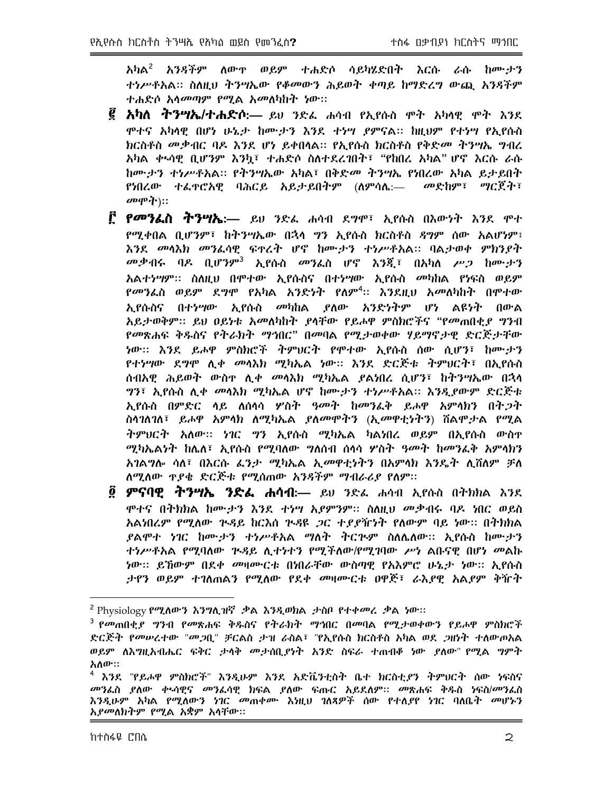አካል<sup>2</sup> አንዳችም ለውዋ ወይም ተሐድሶ ሳይካሄድበት እርሱ ራሱ ከሙታን ተነሥቶአል። ስለዚህ ትንሣኤው የቆመውን ሕይወት ቀጣይ ከማድረግ ውጪ አንጻችም ተሐድሶ አሳ*መጣም የሚ*ል *አመ*ለካከት ነው።

- <mark>፪ አካለ ትንሣኤ/ተሐድሶ</mark>:— ይሀ ንድፌ ሐሳብ የኢየሱስ ሞት አካላዊ ሞት እንደ ሞተና አካላዊ በሆነ ሁኔታ ከሙታን እንደ ተነሣ ያምናል። ከዚህም የተነሣ የኢየሱስ ክርስቶስ መቃብር ባዶ እንደ ሆነ ይቀበሳል። የኢየሱስ ክርስቶስ የቅድመ ትንሣኤ ግብረ አካል ቀኣሳዊ ቢሆንም እንኳ፣ ተሐድሶ ስለተደረገበት፣ "የከበረ አካል" ሆኖ እርሱ ራሱ ከሙታን ተነሥቶአል። የትንሣኤው አካል፣ በቅድመ ትንሣኤ የነበረው አካል ይታደበት የነበረው ተፌዋሮአዊ ባሕርይ አይታይበትም (ለምሳሴ:— መድከም፣ ማርጀት፣  $\mathbf{C}=\mathbf{C}$
- <mark>፫ *የመን*ፌስ ትንሣኤ</mark>:— ይህ ንድፌ ሐሳብ ደ**ግሞ፣ ኢየሱስ በእውነት እንደ** ሞተ የሚቀበል ቢሆንም፣ ከትንሣኤው በኋላ ግን ኢየሱስ ክርስቶስ ዳግም ሰው አልሆነም፤ እንደ መሳእክ መንፈሳዊ ፍተረት ሆኖ ከሙታን ተነሥቶአል። ባልታወቀ ምክንያት *መቃብሩ* ባዶ ቢሆንም<sup>3</sup> ኢየሱስ መንፌስ ሆኖ እንጂ፣ በአካለ ሥ*ጋ* ከሙታን አልተ*ነግም።* ስለዚህ በሞተው ኢየሱስና በተነሣው ኢየሱስ *መካ*ከል የነፍስ ወይም *የመን*ፌስ ወይም ደ*ግ*ሞ የአካል አንድነት የለም<sup>4</sup>፡፡ እንደዚህ አመለካከት በሞተው ኢየሱስና በተሃሣው ኢየሱስ መካከል ያለው አንድነትም ሆነ ልዩነት በውል አይታወቅም፡፡ ይህ ዐይነቱ አመለካከት ያሳቸው የይሖዋ ምስክሮችና "የመጠበቂያ ግንብ የመጽሐፍ ቅዱስና የትራክት ማኅበር" በመባል የሚታወቀው ሃይማኖታዊ ድርጅታቸው ነው። እንደ ይሖዋ ምስክሮች ትምህርት የሞተው ኢየሱስ ሰው ሲሆን፣ ከሙታን *የተነሣ*ው ደ*ግ*ሞ ሊቀ መሳእክ ሚካኤል ነው። እንደ ድርጅቱ ትምህርት፣ በኢየሱስ ሰብአዊ ሕይወት ውስተ ሊቀ *መ*ሳእክ ሚካኤል ያልነበረ ሲሆን፣ ከትንሣኤው በኋላ *ግ*ን፣ ኢየሱስ ሊ*ቀ መ*ሳእክ ሚካኤል ሆኖ ከሙታን ተነሥቶአል። እንዲያውም ድርጅቱ ኢየሱስ በምድር ላይ ለሰላሳ ሦስት *ዓመት* ከመንፌቅ ይሖዋ አምላክን በት*ጋ*ት ስሳገለገለ፣ ይሖዋ አምሳክ ለሚካኤል ያለመሞትን (ኢመዋቲነትን) ሽልሞታል የሚል ትምህርት አለው፡፡ ነገር ግን ኢየሱስ ሚካኤል ካልነበረ ወይም በኢየሱስ ውስዋ ሚካኤልነት ከሌለ፣ ኢየሱስ የሚባለው ግለሰብ ሰላሳ ሦስተ ዓመት ከመንፌቅ አምሳክን አገልግሎ ሳለ፣ በእርሱ ፊንታ ሚካኤል ኢመዋቲነትን በአምሳክ እንዴት ሊሸለም ቻለ ለሚለው ዋያቄ ድርጅቱ የሚሰጠው አንዳችም ማብራሪያ የለም።
- ፬ **ምናባዊ ትንሣኤ ንድፌ ሐሳብ**:— ይህ ንድፌ ሐሳብ ኢየሱስ በትክክል እንደ ሞተና በትክክል ከሙታን እንደ ተነሣ አደምንም። ስለዚህ መቃብሩ ባዶ ነበር ወይስ አልነበረም የሚለው ጕዳይ ከርእሰ ጕዳዩ *ጋ*ር ተ*ያያ*ዥነት የለውም ባይ ነው። በትክክል ደልሞተ ነገር ከሙታን ተነሥቶአል ማለት ትርጕም ስለሌለው። አያሱስ ከሙታን ተነሥቶአል የሚባለው ጕዳይ ሲተነተን የሚችለው/የሚገባው ሥነ ልቡናዊ በሆነ መልኩ *ነ*ው፡፡ ይኸውም በደቀ *መ*ዛሙርቱ በነበራቸው ውስጣዊ የአእምሮ ሁኔ*ታ ነ*ው፡፡ ኢየሱስ ታየን ወይም ተገለጠልን የሚለው የደቀ መዛሙርቱ ዐዋጅ፣ ራእያዋ አልያም ቅዥት

 $^2$  Physiology የሚለውን እንግሊዝኛ .ቃል እንዲወክል ,ታስቦ የተቀመረ .ቃል ነው፡፡

<sup>&</sup>lt;sup>3</sup> የመጠበቂደ *ግን*ብ የመጽሐፍ ቅዱስና የትራክት ማኅበር በመበል የሚታወቀውን የይሖዋ ምስክሮች ድርጅት የመሠረተው "መጋቢ" ቻርልስ ታዝ ራስል፣ "የኢየሱስ ክርስቶስ አካል ወደ *ጋ*ዘነት ተለውጦአል ወይም ለእግዚአብሔር ፍቅር *ታላቅ መታ*ሰቢ*ያነት* አንድ ስፍራ ተጠብቆ ነው ያለው" የሚል ግምት አለው።

<sup>&</sup>lt;sup>4</sup> እንደ "የይሖዋ ምስክሮች" እንዲሁም እንደ አድቬንቲስት ቤተ ክርስቲ*ደ*ን ትምህርት ሰው ነፍስና *መን*ፌስ ያለው ቀ፡ሳዊና መንፌሳዊ ክፍል ያለው ፍጡር አይደለም፡፡ መጽሐፍ ቅዱስ ነፍስ/መንፌስ እንዲሁም አካል የሚለውን ነገር መጠቀሙ እነዚህ ገለጻዎች ሰው የተለ*ያ*የ ነገር ባለቤ*ት መ*ሆኑን አ*ያመ*ለክትም የሚል አቋም አሳቸው።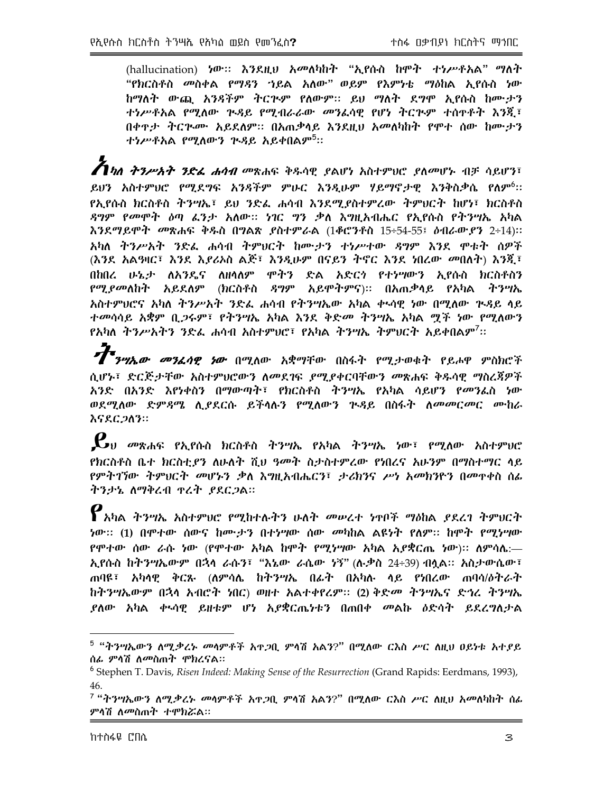(hallucination) ነው። እንደዚህ አመለካከት "ኢየሱስ ከሞት ተነሥቶአል" ማለት "የክርስቶስ መስቀል የማዳን ኀይል አለው" ወይም የእምነቴ ማዕከል ኢየሱስ ነው ከማለት ውጪ አንዳችም ትርጕም የለውም፡፡ ይህ ማለት ደግሞ ኢየሱስ ከሙታን ተነሥቶአል የሚለው ጒዳይ የሚብራራው መንፈሳዊ የሆነ ትርጒም ተሰዋቶት እንጂ፣ በቀዋታ ትርጕሙ አይደለም። በአጠቃሳይ እንደዚህ አመለካከት የሞተ ሰው ከሙታን ተነሥቶአል የሚለውን ጕዳይ አይቀበልም<sup>5</sup>።

 $\bm{Z}$ *ካለ ትንሥአት ንድፌ ሐሳብ መ*ጽሐፍ ቅዱሳዊ ያልሆነ አስተምህሮ ያለመሆኑ ብቻ ሳይሆን፣ ይህን አስተምህሮ የሚደግፍ አንዳችም ምሁር እንዲሁም ሃይማኖታዊ እንቅስቃሴ የለም<sup>6</sup>፡፡ የኢየሱስ ክርስቶስ ትንሣኤ፣ ይህ ንድፌ ሐሳብ እንደሚደስተምረው ትምህርት ከሆነ፣ ክርስቶስ *ዳግም የመሞት ዕ*ጣ *ፌንታ አ*ለው። *ነገ*ር *ግን ቃ*ለ እግዚአብሔር የኢየሱስ የትንሣኤ አካል እንደማይሞት መጽሐፍ ቅዱስ በግልጽ ያስተምራል (1ቆሮንቶስ 15÷54-55፤ ዕብራውያን 2÷14)፡፡ አካለ ትንሥአት ንድፌ ሐሳብ ትምሀርት ከሙታን ተነሥተው ዳግም እንደ ሞቱት ሰዎች (እንደ አልዓዛር፣ እንደ እይሪኦስ ልጅ፣ እንዲሁም በናይን ትኖር እንደ ነበረው መበለት) እንጂ፣ በከበረ ሁኔታ ለአንዴና ለዘሳለም ሞትን ድል አድርጎ የተነሣውን ኢየሱስ ክርስቶስን *የሚያመ*ለከት አይደለም (ክርስቶስ *ዳግ*ም አይሞትምና)፡፡ በአጠቃላይ የአካል ትንሣኤ አስተምሀሮና አካለ ትንሥአት ንድፌ ሐሳብ የትንሣኤው አካል ቀኣሳዊ ነው በሚለው ጒዳይ ላይ ተመሳሳይ አቋም ቢ*ጋ*ሩም፣ የትንሣኤ አካል እንደ ቅድመ ትንሣኤ አካል <u>ማ</u>ች ነው የሚለውን የአካለ ትንሥአትን ንድፌ ሐሳብ አስተምሀሮ፣ የአካል ትንሣኤ ትምሀርት አይቀበልም<sup>7</sup>፡፡

*ታት*<br>*ግግሣኤው መንፈሳዊ ነው* በሚለው አቋማቸው በስፋት የሚታወቁት የይሖዋ ምስክሮች ሲሆኑ፣ ድርጅታቸው አስተምህሮውን ለመደገፍ ያሚያቀርባቸውን መጽሐፍ ቅዱሳዊ ማስረጃዎች አንድ በአንድ እየነቀስን በማውጣት፣ የክርስቶስ ትንሣኤ የአካል ሳይሆን የመንፌስ ነው ወደሚለው ድምዳሜ ሲያደርሱ ይችሳሉን የሚለውን ጕዳይ በስፋት ለመመርመር ሙከራ እናደርጋለን።

 $\boldsymbol{\ell}$ ህ መጽሐፍ የኢየሱስ ክርስቶስ ትንሣኤ የአካል ትንሣኤ ነው፣ የሚለው አስተምሀሮ የክርስቶስ ቤተ ክርስቲ*ያን* ለሁለት ሺህ ዓመት ስታስተምረው የነበረና አሁንም በማስተማር ላይ *የምትገኘው ትምህርት መሆኑን ቃ*ለ እግዚአብሔርን፣ *ታሪክንና ሥነ አመክን*ዮን በመዋቀስ ሰፊ ትንታኔ ለማቅረብ ኖረት ያደርጋል።

 $\bm{\varrho}$ አካል ትንሣኤ አስተምህሮ የሚከተሉትን ሁለት መሠረተ ነዋቦች ማዕከል ያደረገ ትምህርት *ነ*ው፡፡ (1) በሞተው ሰውና ከሙታን በተነሣው ሰው መካከል ልዩነት የለም፡፡ ከሞት የሚነሣው የሞተው ሰው ራሱ ነው (የሞተው አካል ከሞት የሚነሣው አካል አያቋርጤ ነው)። ለምሳሴ:— ኢየሱስ ከትንሣኤውም በኋላ ራሱን፣ "እኔው ራሴው ነኝ" (ሉቃስ 24÷39) ብሏል። አስታውሴው፣ ጠባዩ፣ አካሳዊ ቅርጹ (ለምሳሌ ከትንሣኤ በፊት በአካሉ ላይ የነበረው ጠባሳ/ዕትራት ከትንሣኤውም በኋላ አብሮት ነበር) ወዘተ አልተቀየረም። (2) ቅድመ ትንሣኤና ድኅረ ትንሣኤ *ያ*ለው አካል ቀ፡ሳዊ ይዘቱም ሆነ አ*ያ*ቋርሔነቱን በጠበቀ መልኩ *ስ*ድሳት ይደረግለታል

<sup>&</sup>lt;sup>5</sup> "ትንሣኤውን ለሚ*ቃሪኑ መ*ሳምቶች አዋ*ጋ*ቢ ምሳሽ አልን?" በሚለው ርእስ ሥር ለዚህ ዐይነቱ አተያይ ሰፊ ምላሽ ለ*መ*ስጠት ሞክረናል።

<sup>&</sup>lt;sup>6</sup> Stephen T. Davis, Risen Indeed: Making Sense of the Resurrection (Grand Rapids: Eerdmans, 1993), 46.

<sup>&</sup>lt;sup>7</sup> "ትንሣኤውን ለሚ*ቃረኑ መ*ሳምቶች አዋ*ጋ*ቢ ምሳሽ አልን?" በሚለው ርእስ ሥር ለዚህ አመለካከት ሰፌ ምሳሽ ለ*መ*ስጠት ተሞክሯል።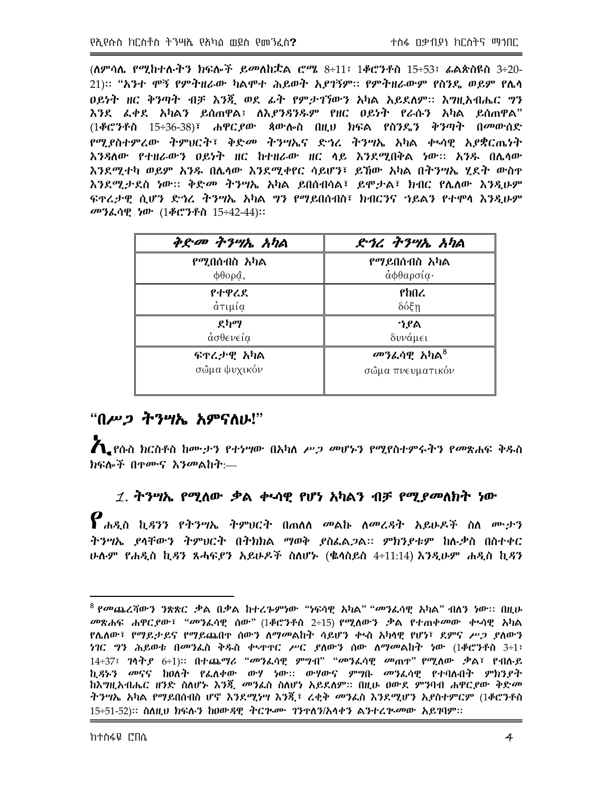(ለምሳሌ የሚከተሉትን ክፍሎች ይመለከቷል ሮሜ 8÷11፤ 1ቆሮንቶስ 15÷53፤ ፌልጵስዩስ 3÷20-21):: "አንተ ሞኝ የምተዘራው ካልሞተ ሕይወት አደገኝም:: የምትዘራውም የስንዴ ወይም የሌሳ ዐይነት ዘር ቅንጣት ብቻ እንጂ ወደ ፊት የምታገኘውን አካል አይደለም። እግዚአብሔር ግን እንደ ፌቀደ አካልን ይሰጠዋል፤ ለእ*ደንጻንዱም* የዘር ዐይነት የራሱን አካል ይሰጠዋል" (1ቆሮንቶስ 15÷36-38)፣ ሐዋር*ያ*ው ጳውሎስ በዚህ ክፍል የስንዴን ቅንጣት በመውሰድ የሚያስተምረው ትምህርት፣ ቅድመ ትንሣኤና ድኅረ ተንሣኤ አካል ቀኣሳዊ አያቋርሔነት እንዳለው የተዘራውን ዐይነት ዘር ከተዘራው ዘር ላይ እንደሚበቅል ነው፡፡ አንዱ በሌላው እንደሚተካ ወይም አንዱ በሌላው እንደሚቀየር ሳይሆን፣ ይኸው አካል በተንሣኤ ሂደት ውስዋ እንደሚታደስ ነው። ቅድመ ትንሣኤ አካል ይበሰብሳል፣ ይሞታል፣ ክብር የሌለው እንዲሁም ፍተረታዊ ሲሆን ድኅረ ትንሣኤ አካል ግን የማይበሰብስ፣ ክብርንና ኀይልን የተሞሳ እንዲሁም መንፌሳዊ ነው (1**ቆሮን**ቶስ 15÷42-44)::

| $\phi$ <i>e-on <math>\psi</math> and</i> | <i>ድኅረ ትንሣ</i> ኡ <i>አካ</i> ል |
|------------------------------------------|------------------------------|
| የሚበሰብስ አካል                               | የማይበሰብስ አካል                  |
| $\phi$ θορ $\hat{a}$ ,                   | άφθαρσία·                    |
| የተዋረደ                                    | የከበረ                         |
| άτιμία                                   | $δ$ όξη                      |
| ደካማ                                      | ጎያል                          |
| ασθενεία                                 | δυνάμει                      |
| ፍተረታዊ አካል                                | መንፌሳዊ አካል <sup>8</sup>       |
| σώμα ψυχικόν                             | σώμα πνευματικόν             |

# "በሥጋ ትንሣኡ አምናስሁ!"

 $\boldsymbol{A}$  ያሰብ ክርስቶስ ከሙታን የተነሣው በአካለ ሥጋ መሆኑን የሚየስተምሩትን የመጽሐፍ ቅዱስ ክፍሎች በ<u>ዋሙና እንመልከት</u>:—

# 1. ትንሣኤ የሚለው ቃል ቍሳዊ የሆነ አካልን ብቻ የሚያመለክት ነው

 $\boldsymbol{P}$ ሐዲስ ኪዳንን የትንሣኤ ትምህርት በጠለለ መልኩ ለመረዳት አይሁዶች ስለ ሙታን ትንሣኤ ያሳቸውን ትምህርት በትክክል ማወቅ ያስፌልጋል፡፡ ምክንያቱም ከሉቃስ በስተቀር ሁሉም የሐዲስ ኪ*ዳ*ን ጸሓፍ*ያን አ*ይሁዶች ስለሆኑ (ቈሳስይስ 4÷11:14) እንዲሁም ሐዲስ ኪ*ዳ*ን

መጽሐፍ ሐዋርያው፣ "መንፌሳዊ ሰው" (1ቆሮንቶስ 2÷15) የሚለውን ቃል የተጠቀመው ቀኣሳዊ አካል የሌለው፣ የማይታይና የማይጨበዋ ሰውን ለማመልከት ሳይሆን ቀላስ አካላዊ የሆነ፣ ደምና ሥጋ ያለውን *ነገ*ር *ግን ሕይወቱ በመን*ፌስ ቅዱስ ቀ<u>ኑ</u>ዋዋር ሥር ያለውን ሰው ለማመልከት ነው (1ቆሮንቶስ 3÷1፤ 14÷37፤ ገሳትያ 6÷1)፡፡ በተጨማሪ "መንፌሳዊ ምግብ" "መንፌሳዊ መጠዋ" የሚለው ቃል፣ የብሉይ ኪ*ዳኑን መ*ናና ከዐለት የፌለቀው ውሃ ነው:: ውሃውና ምግቡ *መን*ፌሳዊ የተባሉበት ምክንደት ከአግዚአብሔር ዘንድ ስለሆኑ እንጂ *መን*ፌስ ስለሆነ አይደለም። በዚሁ ዐውደ ምንባብ ሐዋር*ያ*ው ቅድ*መ* ትንሣኤ አካል የማይበሰብስ ሆኖ እንደሚነሣ እንጂ፣ ረቂቅ መንፌስ እንደሚሆን አያስተምርም (1ቆሮንቶስ 15÷51-52)። ስለዚህ ክፍሉን ከዐውዳዊ ትርጕሙ ገንዋለን/አሳቀን ልንተረጕመው አይገባም።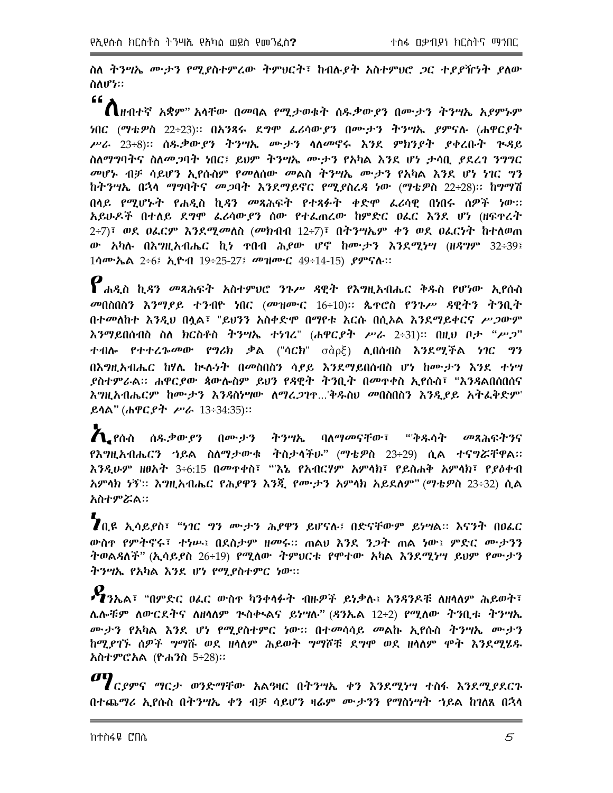ስለ ትንሣኤ ሙታን የሚያስተምረው ትምህርት፣ ከብሉያት አስተምህሮ ጋር ተያያዥነት ያለው ስለሆነ።

 $66<sub>2</sub>$  $\bigcap$ ዙብተኛ አቋም" አሳቸው በመባል የሚታወቁት ሰዱቃውያን በሙታን ትንሣኤ አያምኑም ነበር (ማቴዎስ 22÷23)፡፡ በአንጻሩ ደ*ግሞ ፌ*ሪሳው*ያን* በሙታን ትንሣኤ ያምናሉ (ሐዋርያት ሥራ 23÷8)። ሰዱቃውያን ትንሣኤ ሙታን ሳለመኖሩ እንደ ምክንያት ያቀረቡት ጕዳይ ስለማግባትና ስለመጋባት ነበር፤ ይህም ትንሣኤ ሙታን የአካል እንደ ሆነ ታሳቢ ያደረገ ንግግር መሆኑ ብቻ ሳይሆን ኢየሱስም የመለሰው መልስ ትንሣኤ ሙታን የአካል እንደ ሆነ ነገር ግን ከትንሣኤ በኋላ ማግባትና መጋባት እንደማይኖር የሚያስረዳ ነው (ማቴዎስ 22÷28)፡፡ ከግማሽ በሳይ የሚሆኑት የሐዲስ ኪዳን መጻሕፍት የተጻፉት ቀድሞ ፌሪሳዊ በነበሩ ሰዎች ነው። አይሁዶች በተለይ ደግሞ ፌሪሳውያን ሰው የተፌጠረው ከምድር ዐፌር እንደ ሆነ (ዘፍተረት  $2\div 7$ )፣ ወደ ዐፌርም እንደሚመለስ (መክብብ 12÷7)፣ በትንሣኤም ቀን ወደ ዐፌርነት ከተለወጠ ው አካሉ በእግዚአብሔር ኪነ ተበብ ሕይው ሆኖ ከሙታን እንደሚነሣ (ዘዳግም 32÷39፤ 1ሳሙኤል 2÷6፤ ኢዮብ 19÷25-27፤ መዝሙር 49÷14-15) ያምናሉ።

 $\bm{\varrho}$ ሐዲስ ኪዳን መጻሕፍት አስተምህሮ ንጉሥ ዳዊት የእግዚአብሔር ቅዱስ የሆነው ኢየሱስ መበስበስን እንማያይ ተንብዮ ነበር (መዝሙር 16÷10)። ጴዋሮስ የንጉሥ ዳዊትን ትንቢት በተመለከተ እንዲህ በሷል፣ "ይህንን አስቀድሞ በማየቱ እርሱ በሲኦል እንደማይቀርና ሥጋውም እንማይበሰብስ ስለ ክርስቶስ ትንሣኤ ተነገረ" (ሐዋር*ያት ሥራ* 2÷31)፡፡ በዚህ ቦ*ታ "ሥጋ*" ተብሎ የተተረኈመው የግሪክ ቃል ("ሳርክ" σὰρξ) ሊበሰብስ እንደሚችል ነገር ግን በእግዚአብሔር ከሃሌ ኵሉነት በመስበስን ሳያይ እንደማይበሰብስ ሆነ ከሙታን እንደ ተነሣ *ያስተምራ*ል። ሐዋር*ያው ጳ*ውሎስም ይህን የዳዊት ትንቢት በመዋቀስ ኢየሱስ፣ "እንዳልበሰበሰና <u>እግዚአብሔርም ከሙታን እንዳስሃሣው ለማረጋገዋ...'ቅዱስህ መበስበስን እንዲደይ አትፌቅድም'</u> ይሳል" (ሐዋር*ያት ሥራ* 13÷34:35)::

<u>້ໄດ້ເດີດ ሰዱቃውያን በሙታን ትንሣኤ ባለማመናቸው፣ "ቅዱሳት መጻሕፍትንና</u> የእግዚአብሔርን ኀይል ስለማ*ታ*ውቁ ትስታሳችሁ" (ማቴዎስ 23÷29) ሲል ተናግሯቸዋል። እንዲሁም ዘፀአት 3÷6:15 በመዋቀስ፣ "'እኔ የአብርሃም አምሳክ፣ የይስሐቅ አምሳክ፣ የደዕቀብ አምላክ ነኝ'። እግዚአብሔር የሕያዋን እንጂ የሙታን አምላክ አይደለም" (ማቴዎስ 23÷32) ሲል አስተምሯል።

**7**ቢዩ ኢሳይ*ያ*ስ፣ "ነገር *ግን ሙታን ሕያዋን ይሆናሉ፤ በድናቸውም ይነግ*ል። እናንተ በዐፌር ውስዋ የምትኖሩ፣ ተነሥ፤ በደስታም ዘመሩ። ጠልሀ እንደ ንጋት ጠል ነው፤ ምድር ሙታንን ትወልዳለች" (ኢሳይያስ 26÷19) የሚለው ትምህርቱ የሞተው አካል እንደሚነሣ ይህም የሙታን ትንሣኤ የአካል እንደ ሆነ የሚያስተምር ነው።

 $\boldsymbol{\ell}$ ንኤል፣ "በምድር ዐፌር ውስዋ ካንቀሳፉት ብዙዎች ይነቃሉ፤ አንዳንዶቹ ለዘሳለም ሕይወት፣ ሌሎቹም ለውርደትና ለዘሳለም ጕስቍልና ይነሣሉ" (ዳንኤል 12÷2) የሚለው ትንቢቱ ትንሣኤ ሙታን የአካል እንደ ሆነ የሚያስተምር ነው። በተመሳሳይ መልኩ ኢየሱስ ትንሣኤ ሙታን ከሚያገኙ ሰዎች ግማሹ ወደ ዘሳለም ሕይወት ግማሾቹ ደግሞ ወደ ዘሳለም ሞት እንደሚሄዱ አስተምሮአል (ዮሐንስ 5÷28)።

 $\boldsymbol{q}$  *( የምና ግ*ርታ ወንድማቸው አልዓዛር በትንሣኤ ቀን እንደሚነሣ ተስፋ እንደሚያደርጉ በተጨማሪ ኢየሱስ በትንሣኤ ቀን ብቻ ሳይሆን ዛሬም ሙታንን የማስሃሣት ኀይል ከገለጸ በኋላ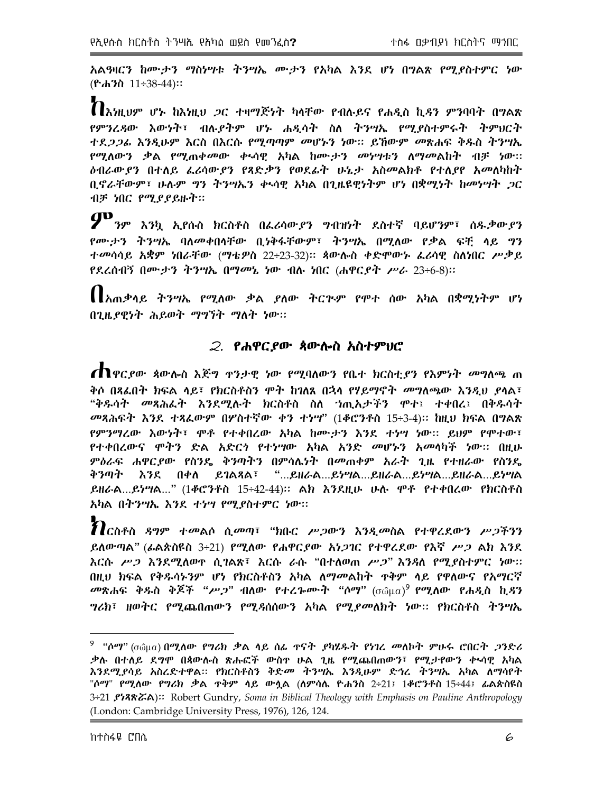አልዓዛርን ከሙታን ማስነሣቱ ትንሣኤ ሙታን የአካል እንደ ሆነ በግልጽ የሚደስተምር ነው  $({}^{\circ}\text{ch}^{\cdot}\text{h}$   $11\div 38\div 44)$ ::

 $\boldsymbol{n}$ እነዚህም ሆኑ ከእነዚህ *ጋ*ር ተዛማጅነት ካላቸው የብሉይና የሐዲስ ኪዳን ምንባባት በግልጽ የምንረዳው እውነት፣ ብሉ,የትም ሆኑ ሐዲሳት ስለ ትንሣኤ የሚያስተምሩት ትምህርት *ተደጋጋፌ እንዲሁም እ*ርስ በእርሱ የሚጣጣም *መ*ሆኑን ነው። ይኸውም *መ*ጽሐፍ ቅዱስ ትንሣኤ *የሚ*ለው*ን ቃ*ል *የሚ*ጠቀመው ቀኣሳዊ አካል ከሙታን መነሣቱን ለማመልከት ብቻ ነው፡፡ *ዕብራውያን* በተለይ *ፌሪ*ሳው*ያን* የጻድቃን የወደፊት ሁኔታ አስመልክቶ የተለያየ አመለካከት ቢኖራቸውም፣ ሁሉም ግን ትንሣኤን ቀኣሳዊ አካል በጊዜዩዊነትም ሆነ በቋሚነት ከመነሣት *ጋ*ር ብቻ ነበር የሚያያይዙት።

 $\boldsymbol{P}$ ንም እንኳ ኢየሱስ ክርስቶስ በፌሪሳውያን ግብዝነት ደስተኛ ባይሆንም፣ ሰዱቃውያን የሙታን ትንሣኤ ባለመቀበሳቸው ቢነቅፋቸውም፣ ትንሣኤ በሚለው የቃል ፍቺ ላይ ግን ተመሳሳይ አቋም ነበራቸው (ማቴዎስ 22÷23-32)፡፡ ጳውሎስ ቀድሞውኑ ፌራሳዊ ስለነበር ሥቃይ የደረሰብኝ በሙታን ትንሣኤ በማመኔ ነው ብሉ ነበር (ሐዋርያት ሥራ 23÷6-8)::

【 አጠቃላይ ትንሣኤ የሚለው ቃል ያለው ትርጕም የሞተ ሰው አካል በቋሚነትም ሆነ በጊዜያዊነት ሕይወት ማግኘት ማለት ነው።

#### 2. የሐዋርያው ጳውሎስ አስተምሀሮ

**ጠ**ዋር*ደ*ው ጳውሎስ እጅግ ዋንታዊ ነው የሚባለውን የቤተ ክርስቲ*ያ*ን የእምነት *መግ*ለጫ ጠ ቅሶ በጻፌበት ክፍል ሳይ፣ የክርስቶስን ሞት ከገለጸ በኋላ የሃይማኖት *መግ*ለጫው እንዲህ ያሳል፣ "ቅዱሳት መጻሕራት እንደሚሉት ክርስቶስ ስለ ኀጢአታችን ሞተ፤ ተቀበረ፤ በቅዱሳት መጻሕፍት እንደ ተጻፌውም በሦስተኛው ቀን ተነሣ" (1ቆሮንቶስ 15÷3-4)። ከዚህ ክፍል በግልጽ የምንማረው እውነት፣ ሞቶ የተቀበረው አካል ከሙታን እንደ ተነሣ ነው። ይህም የሞተው፣ የተቀበረውና ሞትን ድል አድርጎ የተነሣው አካል አንድ መሆኑን አመላካች ነው። በዚሁ ምዕራፍ ሐዋርያው የስንዴ ቅንጣትን በምሳሌነት በመጠቀም አራት ጊዜ የተዘራው የስንዴ እንደ በቀለ ይገልጻል፣ "...ይዘራል...ይነሣል...ይዘራል...ይነሣል...ይዘራል...ይነሣል ቅንጣት ይዘራል...ይነሣል..." (1ቆሮንቶስ 15÷42-44)። ልክ እንደዚሁ ሁሉ ሞቶ የተቀበረው የክርስቶስ አካል በትንሣኤ እንደ ተነሣ የሚያስተምር ነው።

 $\boldsymbol{\eta}$ ርስቶስ ዳግም ተመልሶ ሲመጣ፣ "ክቡር ሥጋውን እንዲመስል የተዋረደውን ሥጋችንን ይለውጣል" (ፊልጵስዩስ 3÷21) የሚለው የሐዋርያው አነጋገር የተዋሪደው የእኛ ሥጋ ልክ እንደ እርሱ ሥ*ጋ እን*ደሚለወዋ ሲገልጽ፣ እርሱ ራሱ "በተለወጠ ሥ*ጋ*" እንዳለ የሚያስተምር ነው። በዚህ ክፍል የቅዱሳኑንም ሆነ የክርስቶስን አካል ለማመልከት ጥቅም ላይ የዋለውና የአማርኛ መጽሐፍ ቅዱስ ቅጆች "ሥ*ጋ*" ብለው የተረጐሙት "ሶማ" (σῶμα)<sup>9</sup> የሚለው የሐዲስ ኪ*ዳ*ን *ግሪክ*፣ ዘወትር የሚጨበጠውን የሚዳሰሰውን አካል የሚያመለክት ነው። የክርስቶስ ትንሣኤ

ቃሉ በተለይ ደ*ግ*ሞ በጳውሎስ ጽሑፎች ውስዋ ሁል ጊዜ የሚጨበጠውን፣ የሚታየውን ቀኣሳዊ አካል እንደሚያሳይ አስረድተዋል። የክርስቶስን ቅድመ ትንሣኤ እንዲሁም ድኅረ ትንሣኤ አካል ለማሳየት "ሶማ" የሚለው የግሪክ ቃል ዋቅም ላይ ውሏል (ለምሳሌ ዮሐንስ 2÷21፤ 1ቆሮንቶስ 15÷44፤ ፊልጵስዩስ 3÷21 *Stration*): Robert Gundry, Soma in Biblical Theology with Emphasis on Pauline Anthropology (London: Cambridge University Press, 1976), 126, 124.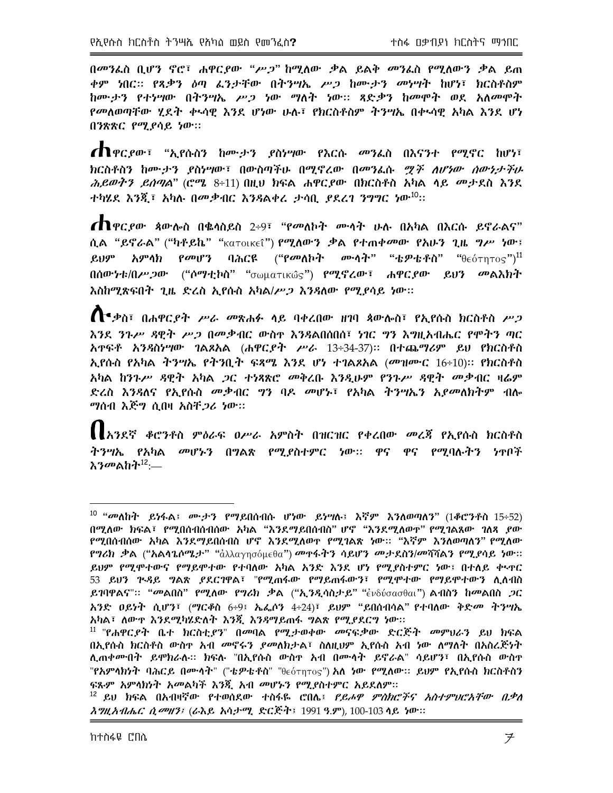በመንፌስ ቢሆን ኖሮ፣ ሐዋር*ያ*ው "ሥ*ጋ*" ከሚለው ቃል ይልቅ መንፌስ የሚለውን ቃል ይጠ ቀም ነበር። የጻቃን ዕጣ ፌንታቸው በትንሣኤ ሥጋ ከሙታን መነሣት ከሆነ፣ ክርስቶስም ከሙታን የተነሣው በትንሣኤ ሥጋ ነው ማለት ነው። ጻድቃን ከመሞት ወደ አለመሞት የመለወጣቸው ሂደት ቀኣሳዊ እንደ ሆነው ሁሉ፣ የክርስቶስም ትንሣኤ በቀኣሳዊ አካል እንደ ሆነ በንጽጽር የሚያሳይ ነው።

**ጠ**ዋርያው፣ "ኢየሱስን ከሙታን ያስሃሣው የእርሱ መንፌስ በእናንተ የሚኖር ከሆነ፣ ክርስቶስን ከሙታን ያስነሣው፣ በውስጣችሁ በሚኖረው በመንፌሱ *ሟች ለሆነው ሰውነታችሁ ሕይወትን ይሰጣል*" (ሮሜ 8÷11) በዚህ ክፍል ሐዋር*ያ*ው በክርስቶስ አካል ሳይ መታደስ እንደ ተካሄደ እንጂ፣ አካሉ በመቃብር እንዳልቀረ ታሳቢ *ያ*ደረገ ንግግር ነው<sup>10</sup>፡፡

 $\Lambda$ ዋር ደው ጳውሎስ በቈሳስይስ 2÷9፣ "የመለኮት ሙሳት ሁሉ በአካል በእርሱ ይኖራልና" ሲል "ይኖራል" ("ካቶይኬ" "<sub>κατοικε</sub>ῖ") የሚለውን ቃል የተጠቀመው የአሁን ጊዜ ግሥ ነው፤ ባሕርዩ ("የመለኮት ሙሳት" "ቴዎቴቶስ" " $\theta \epsilon$ ότητος") $^{11}$ ይህም አምላክ የመሆን በሰውነቱ/በሥ*ጋ*ው ("ሶማቲኮስ" "<sub>σωματικώς") የሚኖረው፣ ሐዋር*ያ*ው ይህን መልእክት</sub> እስከሚጽፍበት ጊዜ ድረስ ኢየሱስ አካል/ሥ*ጋ እንጻ*ለው የሚያሳይ ነው::

 $\bigcap$  ቃስ፣ በሐዋርያት ሥራ መጽሐፉ ሳይ ባቀረበው ዘገባ ጳውሎስ፣ የኢየሱስ ክርስቶስ ሥጋ እንደ ንጉሥ ዳዊት ሥጋ በመቃብር ውስዋ እንዳልበሰበሰ፣ ነገር ግን እግዚአብሔር የሞትን ጣር አዋፍቶ አንዳስነሣው ገልጾአል (ሐዋር,የት ሥራ 13÷34-37)። በተጨማሪም ይህ የክርስቶስ ኢየሱስ የአካል ትንሣኤ የትንቢት ፍጻሜ እንደ ሆነ ተገልጾአል (መዝሙር  $16\div10$ )። የክርስቶስ አካል ከንጉሥ ዳዊተ አካል *ጋ*ር ተነጻጽሮ መቅረቡ እንዲሁም የንጉሥ ዳዊተ መቃብር ዛሬም ድረስ እንዳለና የኢየሱስ መቃብር *ግ*ን ባዶ መሆኑ፣ የአካል ትንሣኤን አ*ያመ*ለክትም ብሎ *ግ*ሰብ እጅግ ሲበዛ አስቸ*ጋሪ ነ*ው።

【【አንደኛ ቆሮንቶስ ምዕራፍ ዐሥራ አምስት በዝርዝር የቀረበው መረጃ የኢየሱስ ክርስቶስ ትንሣኤ የአካል መሆኑን በግልጽ የሚደስተምር ነው፡፡ ዋና ዋና የሚባሉትን ነዋቦች እንመልከት<sup>12</sup>፡—

 $^{10}$  "መለከት ይነፋል፤ ሙታን የማይበሰብሱ ሆነው ይነሣሉ፤ እኛም እንለወጣለን" (1ቆሮንቶስ 15÷52) በሚለው ክፍል፣ የሚበሰብሰብሰው አካል "እንደማይበሰብስ" ሆኖ "እንደሚለወዋ" የሚገልጸው ገለጻ ያው የሚበስብሰው አካል እንደማይበሰብስ ሆኖ እንደሚለወዋ የሚገልጽ ነው፡፡ "እኛም እንለወጣለን" የሚለው የግሪክ ቃል ("አልሳጌሶሜታ" "ἀλλαγησόμεθα") መዋፋትን ሳይሆን መታደስን/መሻሻልን የሚያሳይ ነው። ይህም የሚሞተውና የማይሞተው የተባለው አካል አንድ እንደ ሆነ የሚያስተምር ነው፤ በተለይ ቀኣዋር 53 ይህን ጕዳይ ግልጽ ያደርገዋል፣ "የሚጠፋው የማይጠፋውን፣ የሚሞተው የማይሞተውን ሲሰብስ ይገባዋልና"። "መልበስ" የሚለው የግሪክ ቃል ("ኢንዲሳስታይ" "ἐνδύσασθαι") ልብስን ከመልበስ *ጋ*ር አንድ ዐይነት ሲሆን፣ (ማርቆስ 6÷9፤ ኤፌሶን 4÷24)፣ ይሀም "ይበሰብሳል" የተባለው ቅድ*መ* ትንሣኤ አካል፣ ለውዋ እንደሚካሄድለት እንጂ እንዳማይጠፋ ግልጽ የሚያደርግ ነው።

<sup>&</sup>lt;sup>11</sup> "የሐዋር*ያት* ቤተ ክርስቲ*ያን*" በመባል የሚታወቀው መናፍቃው ድርጅት መምህራን ይህ ክፍል በኢየሱስ ክርስቶስ ውስዋ አብ *መ*ኖሩን *ያመ*ለክታል፣ ስለዚህም ኢየሱስ አብ ነው ለማለት በአስረጅነት ሊጠቀሙበት ይሞክራሉ። ክፍሉ "በኢየሱስ ውስዋ አብ በሙሳት ይኖራል" ሳይሆን፣ በኢየሱስ ውስዋ "የአምላክንት ባሕርይ በሙላት" ("ቴዎቴቶስ" "θεότητος") <mark>አለ *ነ*ው የሚለው</mark>። ይህም የኢየሱስ ክርስቶስን ፍጹም አምሳክነት አመልካች እንጇ አብ መሆኑን የሚያስተምር አይደለም።

<sup>&</sup>lt;sup>12</sup> ይህ ክፍል በአብዛኛው የተወሰደው ተስፋዬ ሮበሌ፤ *የይሖዋ ምስክሮችና አስተምህሮአቸው በቃለ እግዚአብሔር ሲመዘን፤* (ራእይ አሳታሚ ድርጅት፤ 1991 ዓ.ም), 100-103 ሳይ ነው።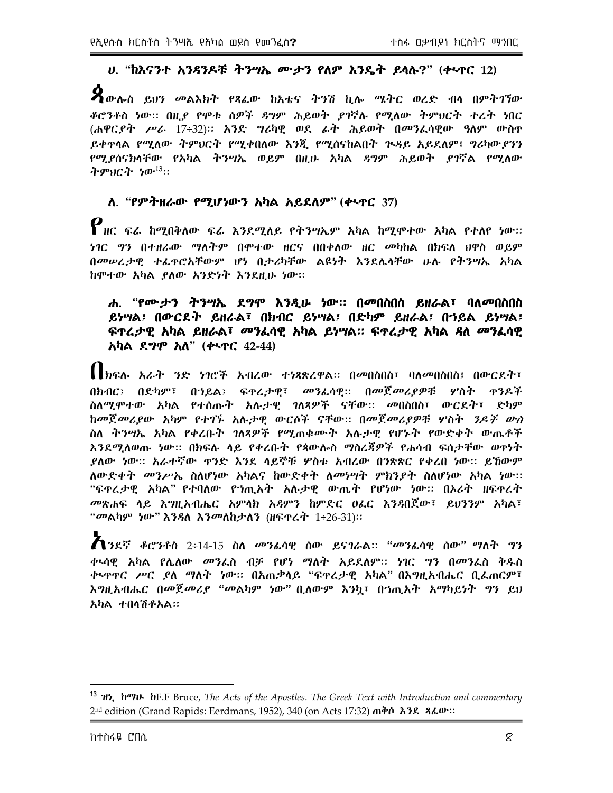# ሀ. "ከእናንተ አንዳንዶቹ ትንሣኤ ሙታን የለም እንዴት ይሳሉ?" (ቀኣዋር 12)

 $\boldsymbol{P}$ ውሎስ ይህን መልእክት የጻፌው ከአቴና ትንሽ ኪሎ ሜትር ወረድ ብሳ በምትገኘው ቆሮንቶስ ነው፡፡ በዚያ የሞቱ ሰዎች ዳግም ሕይወት ደገኛሉ የሚለው ትምህርት ተረት ነበር (ሐዋር*ያት ሥራ* 17÷32)። አንድ *ግ*ሪካዊ ወደ ፊት ሕይወት በመንፈሳዊው ዓለም ውስተ ይቀዋሳል የሚለው ትምህርት የሚቀበለው እንጂ የሚሰናከልበት ጕዳይ አይደለም፤ ግሪካውያንን የሚያሰናክሳቸው የአካል ትንሣኤ ወይም በዚሁ አካል ዳግም ሕይወት ያገኛል የሚለው ትምህርት ነው<sup>13</sup>።

#### ለ. "የምትዘራው የሚሆነውን አካል አይደለም" (ቀፋዋር 37)

 $\bm{\varrho}$  ዘር ፍሬ ከሚበቅለው ፍሬ እንደሚለይ የትንሣኤም አካል ከሚሞተው አካል የተለየ ነው፡፡ *ነገር ግን በተዘራው ማ*ለትም በምተው ዘርና በበቀለው ዘር *መካ*ከል በክፍለ ህዋስ ወይም በመሠረታዊ ተፌዋሮአቸውም ሆነ በታሪካቸው ልዩነት እንደሴሳቸው ሁሉ የትንሣኤ አካል ከሞተው አካል ያለው አንድነት እንደዚሁ ነው።

#### ሐ. "የሙ;ታን ትንሣኤ ደግሞ እንዲሁ ነው። በመበስበስ ይዘራል፣ ባለመበስበስ ይነሣል፤ በውርደት ይዘራል፣ በክብር ይነሣል፤ በድካም ይዘራል፤ በኀይል ይነሣል፤ ፍ**ዋ**ረታዊ አካል ይዘራል፣ መንፈሳዊ አካል ይነሣል። ፍዋረታዊ አካል *ጻ*ለ መንፈሳዊ አካል ደ*ግ*ሞ አለ" (ቍጥር 42-44)

【 ክፍሉ አራት ንድ ነገሮች አብረው ተነጻጽረዋል። በመበስበስ፣ ባለመበስበስ፤ በውርደት፣ በክብር፤ በድካም፣ በኅይል፤ ፍተረታዊ፣ መንፈሳዊ:: በመጀመሪያዎቹ ሦስት ተንዶች ስለሚሞተው አካል የተሰጡት አሉታዊ ገለጻዎች ናቸው:: መበስበስ፣ ውርደት፣ ድካም ከመጀመሪያው አካም የተገኙ አሉታዊ ውርሶች ናቸው:: በመጀመሪያዎቹ ሦስት *ንዶች ውስ* ስለ ትንሣኤ አካል የቀረቡት ገለጻዎች የሚጠቁሙት አሉታዊ የሆኑት የውድቀት ውጤቶች እንደሚለወጡ ነው። በክፍሉ ላይ የቀረቡት የጳውሎስ ማስረጃዎች የሐሳብ ፍሰታቸው ወዋነት ደለው ነው፡፡ አራተኛው ዋንድ እንደ ላይኞቹ ሦስቱ አብረው በንጽጽር የቀረበ ነው፡፡ ይኸውም ለውድቀት መንሥኤ ስለሆነው አካልና ከውድቀት ለመነሣት ምክንያት ስለሆነው አካል ነው:: "ፍዋሬታዊ አካል" የተባለው የኀጢአት አሉታዊ ውጤት የሆነው ነው። በኦሪት ዘፍዋረት *መ*ጽሐፍ ላይ እ*ግ*ዚአብሔር አምሳክ አዳምን ከምድር ወሬር እንዳበጀው፣ ይሀንንም አካል፣ "መልካም ነው" እንዳለ እንመለከታለን (ዘፍዋሬት 1÷26-31)።

 $A$ ንደኛ ቆሮንቶስ 2÷14-15 ስለ መንፌሳዊ ሰው ይናገራል፡፡ "መንፌሳዊ ሰው" ማለት ግን ቀኣሳዊ አካል የሌለው *መን*ፌስ ብቻ የሆነ ማለት አይደለም፡፡ *ነገ*ር *ግ*ን በመንፌስ ቅዱስ ቀኑዋዋር ሥር ያለ ማለት ነው። በአጠቃላይ "ፍዋሬታዊ አካል" በእግዚአብሔር ቢፌጠርም፣ እግዚአብሔር በመጀመሪያ "መልካም ነው" ቢለውም እንኳ፣ በኀጢአት አማካይነት ግን ይህ አካል ተበሳሽቶአል።

<sup>&</sup>lt;sup>13</sup> **11<sup>2</sup>, h<sup>o</sup>lu** hF.F Bruce, The Acts of the Apostles. The Greek Text with Introduction and commentary 2<sup>nd</sup> edition (Grand Rapids: Eerdmans, 1952), 340 (on Acts 17:32)  $\pi$ *i*th  $\lambda$ *38*,  $\lambda \mu$ <sup>3</sup>;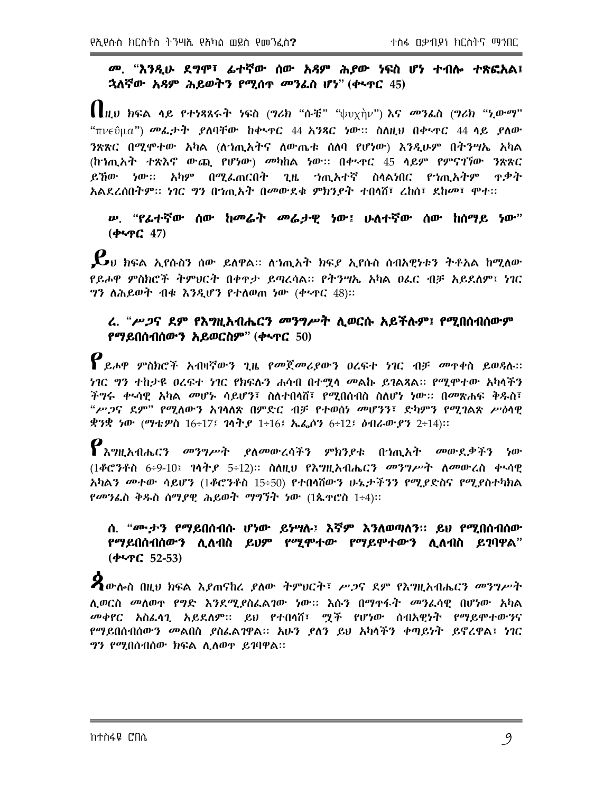#### መ. "እንዲሁ ደግሞ፣ ፊተኛው ሰው አዳም ሕያው ነፍስ ሆነ ተብሎ ተጽፎአል፤ ኋለኛው አዳም ሕይወትን የሚሰዋ መንፌስ ሆነ" (ቀኣዋር 45)

 $\prod_{l\mid U}$  ክፍል ላይ የተነጻጸሩት ነፍስ (ግሪክ "ሱቼ" " $\Downarrow$ υχὴν") እና መንፌስ (ግሪክ "ኒውማ" "πνεΰμα") መፌታት ያለባቸው ከቀጥር 44 አንጻር ነው። ስለዚህ በቀጥር 44 ሳይ ያለው ንጽጽር በሚሞተው አካል (ለኀጢአትና ለውጤቱ ሰለባ የሆነው) እንዲሁም በትንሣኤ አካል (ከኀጢአት ተጽእኖ ውጪ የሆነው) መካከል ነው። በቀ‹ተር 45 ሳይም የምናገኘው ንጽጽር ይኸው ነው። አካም በሚፌጠርበት ጊዜ ኀጢአተኛ ስሳልነበር የኀጢአትም ዋቃት አልደረሰበትም። ነገር ግን በጎጢአት በመውደቁ ምክንያት ተበሳሽ፣ ረከሰ፣ ደከመ፣ ሞተ።

#### ሥ. "የፊተኛው ሰው ከመሬት መሬታዊ ነው፤ ሁለተኛው ሰው ከሰማይ ነው"  $(4.9C, 47)$

 $\boldsymbol{\mathcal{L}}$ υ ክፍል ኢየሱስን ሰው ይለዋል። ለኀጢአት ክፍያ ኢየሱስ ሰብአዊነቱን ትቶአል ከሚለው የይሖዋ ምስክሮች ትምህርት በቀዋታ ይጣረሳል። የትንሣኤ አካል ዐፌር ብቻ አይደለም፤ ነገር ግን ለሕይወት ብቁ እንዲሆን የተለወጠ ነው (ቀኑዋር 48)።

#### ሬ. "ሥጋና ደም የእግዚአብሔርን መንግሥት ሲወርሱ አይችሉም፤ የሚበሰብሰውም የማይበሰብሰውን አይወርስም" (ቀኣዋር 50)

 $\bm{P}$ ይሖዋ ምስክሮች አብዛኛውን ጊዜ የመጀመሪያውን ዐረፍተ ነገር ብቻ መዋቀስ ይወዳሉ። *ነገ*ር *ግ*ን ተከታዩ ዐረፍተ ነገር የክፍሉን ሐሳብ በተማሳ መልኩ ይገልጻል። የሚሞተው አካሳችን ችግሩ ቀኣሳዊ አካል *መ*ሆኑ ሳይሆን፣ ስለተበሳሽ፣ የሚበሰብስ ስለሆነ ነው። በመጽሐፍ ቅዱስ፣ "ሥ*ጋ*ና ደም" የሚለውን አገላለጽ በምድር ብቻ የተወሰነ መሆንን፣ ድካምን የሚገልጽ ሥዕላዊ ቋንቋ ነው (ማቴዎስ 16÷17፤ ገሳትያ 1÷16፤ ኤፌሶን 6÷12፤ ዕብራውያን 2÷14)።

 $\bm{\varrho}$ እግዚአብሔርን መንግሥት ያለመውረሳችን ምክንያቱ በጎጢአት መውደቃችን ነው (1ቆሮንቶስ 6÷9-10፤ ገሳት, 5÷12)። ስለዚህ የእግዚአብሔርን መንግሥት ለመውረስ ቀላሳዊ አካልን መተው ሳይሆን (1ቆሮንቶስ 15÷50) የተበሳሽውን ሁኔታችንን የሚያድስና የሚያስተካክል *የመን*ፌስ ቅዱስ ሰማ*ያ*ዊ ሕይወት ማግኘት ነው (1ጴዋሮስ 1÷4)።

#### ሰ. "ሙታን የማይበሰብሱ ሆነው ይነሣሉ፤ እኛም እንለወጣለን። ይህ የሚበሰብሰው የማይበሰብሰውን ሊለብስ ይህም የሚሞተው የማይሞተውን ሊለብስ ይገባዋል"  $(447C, 52-53)$

 $\boldsymbol{P}$ ውሎስ በዚህ ክፍል እይጠናከሬ ይለው ትምህርት፣ ሥጋና ደም የእግዚአብሔርን መንግሥት ሊወርስ መለወዋ የግድ እንደሚያስፌልገው ነው፡፡ እሱን በማዋፋት መንፈሳዊ በሆነው አካል መቀየር አስፌሳጊ አይደለም። ይህ የተበሳሽ፣ ሟች የሆነው ሰብአዊነት የማይሞተውንና የማይበሰብሰውን መልበስ ያስፌልገዋል። አሁን ያለን ይህ አካሳችን ቀጣይነት ይኖረዋል፤ ነገር *ግን የሚ*በሰብሰው ክፍል ሊለወዋ ይገባዋል።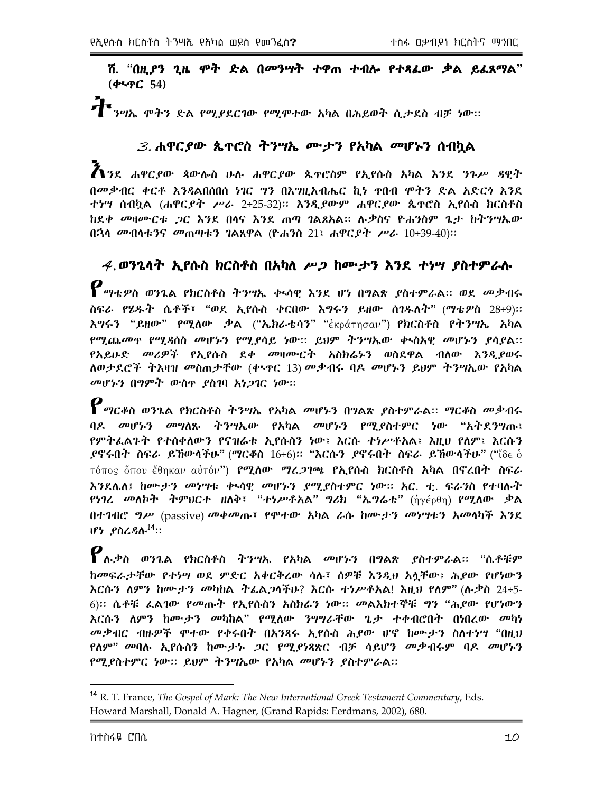ሽ. "በዚያን ጊዜ ሞት ድል በመንሣት ተዋጠ ተብሎ የተጻፌው ቃል ይፌጸማል"  $(4.7C, 54)$ 

#### 3. ሐዋርያው ጴዯሮስ ትንሣኤ ሙታን የአካል መሆኑን ሰብካል

 $\bm{\tilde{\Lambda}}$ ንደ ሐዋርያው ጳውሎስ ሁሉ ሐዋርያው ጴዋሮስም የኢየሱስ አካል እንደ ንጉሥ ዳዊት በመቃብር ቀርቶ እንጻልበሰበሰ ነገር ግን በእግዚአብሔር ኪነ ተበብ ሞትን ድል አድርጎ እንደ ተነሣ ሰብኳል (ሐዋር*ያት ሥራ 2÷*25-32)። እንዲያውም ሐዋርያው ጴዋሮስ ኢየሱስ ክርስቶስ ከደቀ መዛሙርቱ *ጋ*ር እንደ በሳና እንደ ጠጣ ገልጾአል። ሉቃስና ዮሐንስም ጌታ ከትንሣኤው በኋላ መብሳቱንና መጠጣቱን ገልጸዋል (ዮሐንስ 21፤ ሐዋር*ያት ሥራ* 10÷39-40)።

 $4.$ ወንጌሳት ኢየሱስ ክርስቶስ በአካለ ሥጋ ከሙታን እንደ ተነሣ ያስተምራሉ  $\bm{\rho}$ <sub>ማቴዎስ ወንጌል የክርስቶስ ትንሣኤ ቀላሳዊ እንደ ሆነ በግልጽ ያስተምራል። ወደ መቃብሩ</sub> ስፍራ የሄዱት ሴቶች፣ "ወደ ኢየሱስ ቀርበው እግሩን ይዘው ሰገዱለት" (ማቴዎስ 28÷9):: እግሩን "ይዘው" የሚለው ቃል ("ኤክራቴሳን" "ἐκράτησαν") የክርስቶስ የትንሣኤ አካል የሚጨመዋ የሚዳስስ መሆኑን የሚያሳይ ነው። ይህም ትንሣኤው ቀላስአዊ መሆኑን ያሳያል። የአይሁድ *መሪዎች* የኢየሱስ ደቀ መዛሙርት አስክሬኑን ወስደዋል ብለው እንዲያወሩ ለወታደሮች ትእዛዝ መስጠታቸው (ቀኑዋር 13) መቃብሩ ባዶ መሆኑን ይህም ትንሣኤው የአካል መሆኑን በማዎት ውስዋ ያስገባ አነጋገር ነው።

 $\boldsymbol{P}$ ማርቆስ ወንጌል የክርስቶስ ትንሣኤ የአካል መሆኑን በግልጽ ያስተምራል። ማርቆስ መቃብሩ በዶ መሆኑ*ን መግ*ለጹ ትንሣኤው የአካል መሆኑ*ን የማ*-የስተምር ነው "አትደንግጡ፤ የምትፌልጉት የተሰቀለውን የናዝሬቱ ኢየሱስን ነው፤ እርሱ ተነሥቶአል፤ እዚህ የለም፤ እርሱን  $f$ ኖሩበት ስፍራ ይኸውሳችሁ" (ማርቆስ  $16\div 6$ )። "እርሱን  $f$ ኖሩበት ስፍራ ይኸውሳችሁ" ("ঁ $\delta\epsilon$   $\delta$ τόπος ὅπου ἔθηκαν αὐτόν**") የሚለው** *ግሬ,***ንገጫ የኢየሱስ ክርስቶስ አካል በኖረበት ስፍራ** እንደሌለ፤ ከሙታን መነሣቱ ቀላሳዋ መሆኑን <u>ደማደስተ</u>ምር ነው። አር. ተ. ፍራንስ የተባሉት *የነገረ መ*ለኮተ ትምህርተ ዘለቅ፣ "ተ*ነሥቶአ*ል" *ግሪክ* "ኤግሬቴ" (ἠγέρθη) የሚለው ቃል በተገብሮ *ግሥ* (passive) መቀመጡ፣ የሞተው አካል ራሱ ከሙታን መነሣቱን አመሳካች እንደ  $IP$ ን የስረዳሉ $^{14}$ ።

 $\bm{P}_{\bm{\alpha}}$ ቃስ ወንጌል የክርስቶስ ትንሣኤ የአካል መሆኑን በግልጽ ያስተምራል። "ሴቶቹም ከመፍራታቸው የተነሣ ወደ ምድር አቀርቅረው ሳሉ፣ ሰዎቹ እንዲህ አሳቸው፤ ሕደው የሆነውን እርሱን ለምን ከሙታን መካከል ትፌል*ጋ*ሳችሁ? እርሱ ተነሥቶአል! እዚህ የለም" (ሉ.ቃስ 24÷5-6)፡፡ ሴቶቹ ፌልገው የመጡት የኢየሱስን አስክሬን ነው፡፡ መልእክተኞቹ ግን "ሕደው የሆነውን እርሱን ለምን ከሙታን መካከል" የሚለው ንግግራቸው ጌታ ተቀብሮበት በነበረው መካነ መቃብር ብዙዎች ሞተው የቀሩበት በአንጻሩ ኢየሱስ ሕያው ሆኖ ከሙታን ስለተነሣ "በዚህ የለም" መባሉ ኢየሱስን ከሙታኑ *ጋ*ር የሚያነጻጽር ብቻ ሳይሆን መቃብሩም ባዶ መሆኑን የሚያስተምር ነው። ይህም ትንሣኤው የአካል መሆኑን ያስተምራል።

<sup>&</sup>lt;sup>14</sup> R. T. France, *The Gospel of Mark*: *The New International Greek Testament Commentary*, Eds. Howard Marshall, Donald A. Hagner, (Grand Rapids: Eerdmans, 2002), 680.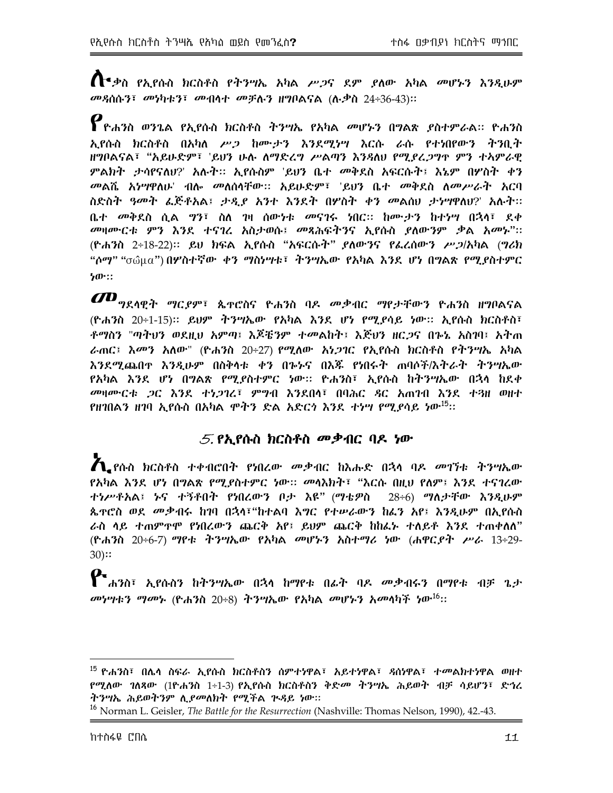$\bigcap$  ቃስ የኢየሱስ ክርስቶስ የትንሣኤ አካል ሥጋና ደም ያለው አካል መሆኑን እንዲሁም መዳሰሱን፣ መነካቱን፣ መብላተ መቻሉን ዘግቦልናል (ሉቃስ 24÷36-43)።

 $\bm{P}$ ዮሐንስ ወንጌል የኢየሱስ ክርስቶስ ትንሣኤ የአካል መሆኑን በግልጽ ያስተምራል። ዮሐንስ ኢየሱስ ክርስቶስ በአካለ ሥጋ ከሙታን እንደሚነሣ እርሱ ራሱ የተነበየውን ትንቢት ዘግቦልናል፣ "አይሁድም፣ 'ይህን ሁሉ ለማድረግ ሥልጣን እንጻለህ የሚያረጋግዋ ምን ተኣምራዊ ምልክት ታሳየናለህ?' አሉት። ኢየሱስም 'ይህን ቤተ መቅደስ አፍርሱት፤ እኔም በሦስት ቀን *መ*ልሼ *አነሣዋ*ለሁ' ብሎ መለሰሳቸው፡፡ አይሁድም፣ 'ይህን ቤተ መቅደስ ለመሥራት አርባ ስድስት *ዓመት ፌ*ጅቶአል፤ *ታዲያ አን*ተ እንደት በሦስት ቀን መልሰሀ ታነሣዋለሀ?' አሉት። ቤ*ተ መቅ*ደስ ሰል *ግ*ን፣ ስለ ገዛ ሰው<u>ነቱ መናገሩ ነበር። ከሙታን ከተነሣ በኋላ፣ ደቀ</u> መዛሙርቱ ምን እንደ ተናገረ አስታወሱ፤ መጻሕፍትንና ኢየሱስ ያለውንም ቃል አመኑ"፡፡ (ዮሐንስ 2÷18-22)፡፡ ይህ ክፍል ኢየሱስ "አፍርሱት" ያለውንና የፌረሰውን ሥ*ጋ*/አካል (ግሪክ "ሶማ" "σῶμα") በሦስተኛው ቀን ማስሃሣቱ፣ ትንሣኤው የአካል እንደ ሆነ በግልጽ የሚያስተምር ነው።

 $I\!\!\!Z\!\!\!D$ <sub>ግደሳዊ</sub>ት ማር*ደ*ም፣ ጴተሮስና ዮሐንስ ባዶ መቃብር ማየታቸውን ዮሐንስ ዘግቦልናል (ዮሐንስ 20÷1-15)፡፡ ይህም ትንሣኤው የአካል እንደ ሆነ የሚያሳይ ነው፡፡ ኢየሱስ ክርስቶስ፣ ቶማስን "ጣትህን ወደዚህ አምጣ፤ እጆቼንም ተመልከት፤ እጅህን ዘር*ጋ*ና በኈኔ አስገባ፤ አትጠ ራጠር፤ እመን አለው" (ዮሐንስ 20÷27) የሚለው አነ*ጋገ*ር የኢየሱስ ክርስቶስ የትንሣኤ አካል እንደሚጨበዋ እንዲሁም በስቅሳቱ ቀን በኈኑና በእጁ የነበሩት ጠባሶች/እትራት ትንሣኤው የአካል እንደ ሆነ በግልጽ የሚያስተምር ነው። ዮሐንስ፣ ኢየሱስ ከተንሣኤው በኋላ ከደቀ መዛሙርቱ *ጋ*ር እንደ ተነ*ጋገ*ሬ፣ ምንብ እንደበሳ፣ በባሕር ዳር አጠገብ እንደ ተጓዘ ወዘተ የዘገበልን ዘገባ ኢየሱስ በአካል ሞትን ድል አድር*ጎ* እንደ *ተነግ* የሚ*ያ*ሳይ ነው<sup>15</sup>።

#### $5.$  የኢየሱስ ክርስቶስ መቃብር ባዶ ነው

 $\boldsymbol{A}$ .የሱስ ክርስቶስ ተቀብሮበት የነበረው መቃብር ከእሑድ በኋላ ባዶ መገኘቱ ትንሣኤው *የአካ*ል እንደ ሆነ በ**ግልጽ የሚደስተምር ነው። መሳእክት፣ "እርሱ በዚህ የ**ለም፤ እንደ ተናገረው ተነሥቶአል፤ ኑና ተኝቶበት የነበረውን ቦታ እዩ" (ማቴዎስ 28÷6) ማለታቸው እንዲሁም ጴዯሮስ ወደ *መ*.ቃብሩ ከገባ በኋላ፣"ከተልባ እ*ግ*ር የተሥራውን ከፌን አየ፤ እንዲሁም በኢየሱስ ራስ ላይ ተጠምዋሞ የነበረውን ጨርቅ አየ፤ ይህም ጨርቅ ከከፌኑ ተለይቶ እንደ ተጠቀለለ" (ዮሐንስ 20÷6-7) ማየቱ ትንሣኤው የአካል መሆኑን አስተማሪ ነው (ሐዋርያት ሥራ 13÷29- $30$ ::

 $\mathbf{P}$  <sub>ሐንስ፣ ኢየሱስን ከትንሣኤው በኋላ ከማየቱ በፊት ባዶ መቃብሩን በማየቱ ብቻ ጌታ</sub> መነሣቱን ማመኑ (ዮሐንስ 20÷8) ትንሣኤው የአካል መሆኑን አመላካች ነው<sup>.16</sup>፡፡

<sup>&</sup>lt;sup>15</sup> ዮሐንስ፣ በሌሳ ስፍራ ኢየሱስ ክርስቶስን ሰምተነዋል፣ አይተነዋል፣ *ዳ*ሰነዋል፣ ተ*መ*ልክተነዋል ወዘተ የሚለው ገለጻው (1ዮሐንስ 1÷1-3) የኢየሱስ ክርስቶስን ቅድ*መ* ትንሣኤ ሕይወት ብቻ ሳይሆን፣ ድኅረ ትንሣኤ ሕይወትንም ሊያመለክት የሚችል ጒዳይ ነው።

<sup>&</sup>lt;sup>16</sup> Norman L. Geisler, *The Battle for the Resurrection* (Nashville: Thomas Nelson, 1990), 42.-43.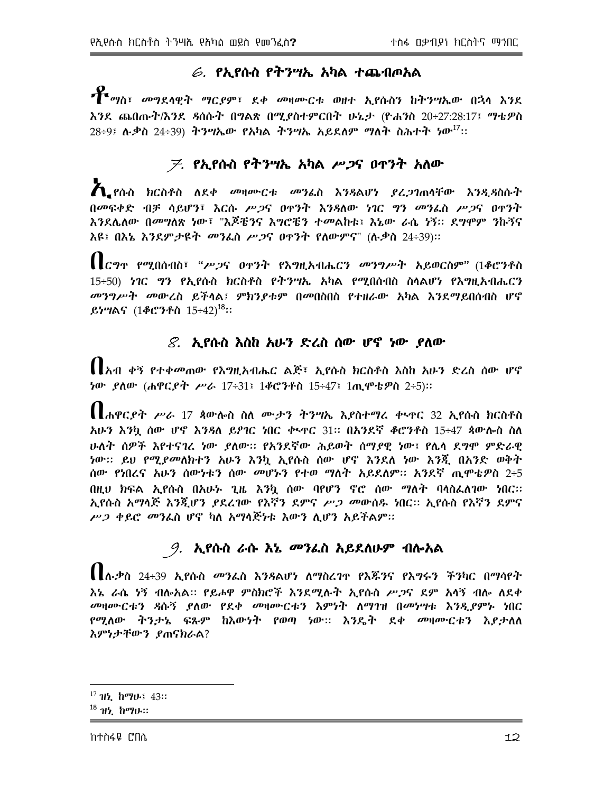# $\epsilon$ . የኢየሱስ የትንሣኤ አካል ተጨብጦአል

**\*\*** <sub>ማስ፣ መግደላዊት ማር*ያም*፣ ደቀ መዛሙርቱ ወዘተ ኢየሱስን ከትንሣኤው በኋላ እንደ</sub> እንደ ጨበጡት/እንደ ዳስሱት በግልጽ በሚያስተምርበት ሁኔታ (ዮሐንስ 20÷27:28:17፤ ማቴዎስ  $28+9$ ፤ ሉ.ቃስ 24÷39) ትንሣኤው የአካል ትንሣኤ አይደለም ማለት ስሕተት ነው<sup>.17</sup>፡፡

# *ቻ. የኢየ*ሱስ የትንሣኤ አካል *ሥጋ*ና ዐዋንት አለው

 $\boldsymbol{A}$  የሱስ ክርስቶስ ለደቀ መዛሙርቱ መንፌስ እንዳልሆነ ያረ ጋገጠሳቸው እንዲዳስሱት በመፍቀድ ብቻ ሳይሆን፣ እርሱ ሥጋና ዐዋንት እንዳለው ነገር ግን መንፌስ ሥጋና ዐዋንት እንደሌለው በመግለጽ ነው፣ "እጆቼንና እግሮቼን ተመልከቱ፤ እኔው ራሴ ነኝ። ደግሞም ንኩኝና እዩ፤ በእኔ እንደም*ታ*ዩት *መን*ፌስ ሥ*ጋ*ና ዐዋንት የለውምና" (ሉ.ቃስ 24÷39)።

 $\prod_{\mathcal{C}}$ ግጥ የሚበሰብስ፣ "ሥጋና ዐጥንት የእግዚአብሔርን መንግሥት አይወርስም" (1ቆሮንቶስ 15÷50) ነገር ግን የኢየሱስ ክርስቶስ የትንሣኤ አካል የሚበሰብስ ስሳልሆነ የእግዚአብሔርን መንግሥት መውረስ ይችላል፤ ምክንያቱም በመበስበስ የተዘራው አካል እንደማይበሰብስ ሆኖ ይነሣልና (1ቆሮንቶስ 15÷42)<sup>18</sup>።

## $\mathcal{S}$ . ኢየሱስ እስከ አሁን ድረስ ሰው ሆኖ ነው ያለው

【【አብ ቀኝ የተቀመጠው የእግዚአብሔር ልጅ፣ ኢየሱስ ክርስቶስ እስከ አሁን ድረስ ሰው ሆኖ <u>ነው ያለው (ሐዋርያት ሥራ 17÷31፤ 1ቆሮንቶስ 15÷47፤ 1ጢሞቴዎስ 2÷5)።</u>

 $\prod_{\mathbf{d}}\mathbf{d}_{\mathbf{d}}\mathbf{p}_{\mathbf{d}}$ ደንት ሥራ 17 ጳውሎስ ስለ ሙታን ትንሣኤ እያስተማሪ ቀላዋር 32 ኢየሱስ ክርስቶስ አሁን እንኳ ሰው ሆኖ እንዳለ ይዖገር ነበር ቀኑዋር 31። በአንደኛ ቆሮንቶስ 15÷47 ጳውሎስ ስለ ሁለት ሰዎች እየተናገረ ነው ደለው። የአንደኛው ሕይወት ሰማደዊ ነው፤ የሌላ ደግሞ ምድራዊ ነው። ይህ የሚ*ያመ*ለክተን አሁን እንኳ ኢየሱስ ሰው ሆኖ እንደለ ነው እንጂ በአንድ ወቅት ሰው የነበረና አሁን ሰውነቱን ሰው *መ*ሆኑን የተወ ማለት አይደለም። አንደኛ ጢሞቴዎስ 2÷5 በዚህ ክፍል ኢየሱስ በአሁኑ ጊዜ እንኳ ሰው ባየሆን ኖሮ ሰው ማለት ባሳስፌለገው ነበር፡፡ ኢየሱስ አማላጅ እንጂሆን *ያ*ደረገው የእኛን ደምና *ሥጋ መ*ውሰዱ ነበር። ኢየሱስ የእኛን ደምና ሥጋ ቀይሮ መንፌስ ሆኖ ካለ አማሳጅነቱ እውን ሊሆን አይችልም።

# *9. ኢየ*ሱስ ራሱ እኔ *መን*ፌስ አይደለሁም ብሎአል

【【ሉቃስ 24÷39 አ.የሱስ መንፌስ እንዳልሆነ ለማስረገዋ የእጁንና የእግሩን ችንካር በማሳየት <u>እኔ ራሴ ሃኝ ብሎአል። የይሖዋ ምስክሮች እንደሚሉት አደሱስ ሥጋና ደም አሳኝ ብሎ ለደቀ</u> መዛሙርቱን ዳሱኝ ያለው የደቀ መዛሙርቱን እምነት ለማገዝ በመነሣቱ እንዲያምኑ ነበር የሚለው ትንታኔ ፍጹም ከእውነት የወጣ ነው። እንዴት ደቀ *መ*ዛሙርቱን እ*ደ*ታለለ እምነታቸውን ያጠናክራል?

 $^{17}$  ዝં. ከማሁ፤  $43$ ።

 $^{18}$   $11$ ,  $h$  $90$ .::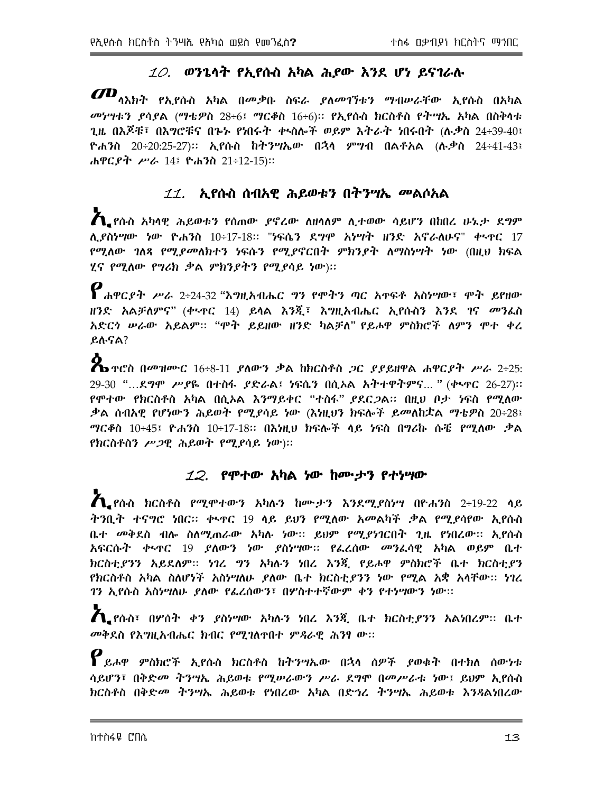## $10.$  ወንጌሳት የኢየሱስ አካል ሕያው እንደ ሆነ ይናገራሉ

 $I\!\!\!Z\!\!\!D_{\eta\lambda\eta}$ ት የኢየሱስ አካል በመቃቡ ስፍራ ያለመገኘቱን ማብሥራቸው ኢየሱስ በአካል መነሣቱን ያሳያል (ማቴዎስ 28÷6፤ ማርቆስ 16÷6)፡፡ የኢየሱስ ክርስቶስ የትሣኤ አካል በስቅሳቱ ጊዜ በእጆቹ፣ በእ*ግሮቹና በጉኑ የነ*በሩት ቀ<u>ላ</u>ስሎች ወይም እትራት ነበሩበት (ሉ*ቃ*ስ 24÷39-40፤ ዮሐንስ 20÷20:25-27)። ኢየሱስ ከትንሣኤው በኋላ ምግብ በልቶአል (ሉ.ቃስ 24÷41-43፤ ሐዋርያት ሥራ 14፤ ዮሐንስ 21÷12-15)።

# *11.* ኢየሱስ ሰብአዊ ሕይወቱን በትንሣኤ መልሶአል

 $\boldsymbol{A}$  ያሱስ አካላዊ ሕይወቱን የሰጠው ያኖረው ለዘሳለም ሊተወው ሳይሆን በከበረ ሁኔታ ደግም ሲያስነሣው ነው ዮሐንስ 10÷17-18። "ነፍሴን ደ*ግ*ሞ አነሣት ዘንድ አኖራለሁና" ቀ<u>ኑ</u>ዋር 17 *የሚ*ለው *ገ*ለጻ የሚደመለክተን ነፍሱን የሚደኖርበት ምክንደት ለማስነሣት ነው (በዚህ ክፍል ሂና የሚለው የግሪክ ቃል ምክንያትን የሚያሳይ ነው)::

 $\boldsymbol{P}$ ሐዋር ዶት ሥራ 2÷24-32 "እግዚአብሔር ግን የሞትን ጣር አዋፍቶ አስነሣው፣ ሞት ይየዘው ዘንድ አልቻለምና" (ቀ<u>\</u>ዋር 14) ይሳል እንጂ፣ እግዚአብሔር ኢየሱስን እንደ ገና *መ*ንፌስ አድርጎ ሥራው አይልም። "ሞት ይይዘው ዘንድ ካልቻለ" የይሖዋ ምስክሮች ለምን ሞተ ቀረ ይሉናል?

 $\mathbb X$ ን ተሮስ በመዝሙር  $16\div8-11$  ይለውን ቃል ከክርስቶስ ጋር ይይይዘዋል ሐዋርይት ሥራ 2÷25: 29-30 "...ደ*ግ*ሞ ሥ*ያ*ዬ በተስፋ *ያ*ድራል፤ ነፍሴን በሲኦል አትተዋትምና... " (ቀ<u>ሞር 26-27</u>)። የሞተው የክርስቶስ አካል በሲኦል እንማይቀር "ተስፋ" ያደር*ጋ*ል። በዚህ ቦታ ነፍስ የሚለው ቃል ሰብአዊ የሆነውን ሕይወት የሚያሳይ ነው (እነዚህን ክፍሎች ይመለከቷል ማቴዎስ 20÷28፤ *ግ*ርቆስ 10÷45፤ ዮሐንስ 10÷17-18፡፡ በእነዚህ ክፍሎች ላይ ነፍስ በግሪኩ ሱቼ የሚለው ቃል የክርስቶስን ሥጋዊ ሕይወት የሚያሳይ ነው)።

#### $12.$  የሞተው አካል ነው ከሙታን የተነሣው

 $\boldsymbol{A}_{\bullet}$ የሱስ ክርስቶስ የሚሞተውን አካሉን ከሙታን እንደሚያስነሣ በዮሐንስ 2÷19-22 ሳይ ትንቢት ተናግሮ ነበር። ቀኣዋር 19 ሳይ ይህን የሚለው አመልካች ቃል የሚያሳየው ኢየሱስ ቤተ መቅደስ ብሎ ስለሚጠራው አካሉ ነው። ይህም የሚያነገርበት ጊዜ የነበረው። ኢየሱስ አፍርሱት ቀኣዋር 19 ያለውን ነው ያስነሣው። የፌረሰው መንፌሳዊ አካል ወይም ቤተ ክርስቲያንን አይደለም። ነገረ ግን አካሉን ነበረ እንጂ የይሖዋ ምስክሮች ቤተ ክርስቲያን የክርስቶስ አካል ስለሆነች አስነሣለሁ ያለው ቤተ ክርስቲያንን ነው የሚል አቋ አሳቸው፡፡ ነገረ ገን ኢየሱስ አስነሣለሁ ያለው የፌረሰውን፣ በሦስተተኛውም ቀን የተነሣውን ነው።

 $\boldsymbol{\Lambda}$  የሱስ፣ በሦስት ቀን ያስነሣው አካሉን ነበረ እንጂ ቤተ ክርስቲያንን አልነበረም፡፡ ቤተ መቅደስ የእግዚአብሔር ክብር የሚገለዋበተ ምዳራዊ ሕንፃ ው።

 $\boldsymbol{P}$ ይሖዋ ምስክሮች ኢየሱስ ክርስቶስ ከትንሣኤው በኋላ ሰዎች ያወቁት በተክለ ሰውነቱ ሳይሆን፣ በቅድመ ትንሣኤ ሕይወቱ የሚሥራውን ሥራ ደግሞ በመሥራቱ ነው፤ ይህም ኢየሱስ ክርስቶስ በቅድ*መ ትንግ*ኤ ሕይወቱ የነበረው አካል በድኅረ *ትንግ*ኤ ሕይወቱ እንዳልነበረው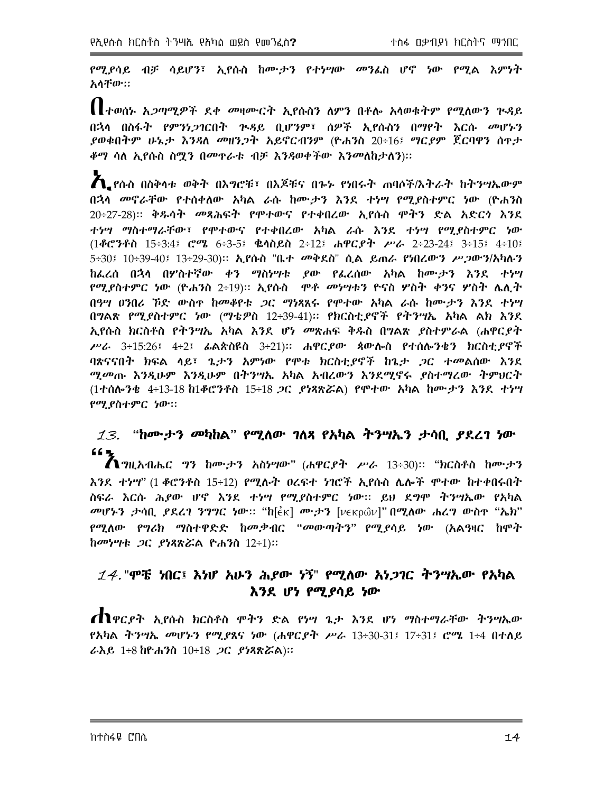የሚደሳይ ብቻ ሳይሆን፣ ኢየሱስ ከሙታን የተነሣው መንፈስ ሆኖ ነው የሚል እምነት አሳቸው።

||ተወሰኑ አ*ጋ*ጣሚዎች ደቀ መዛሙርት ኢየሱስን ለምን በቶሎ አሳወቁትም የሚለውን ጕዳይ በኋላ በስፋት የምንነ*ጋገ*ርበት ጕዳይ ቢሆንም፣ ሰዎች ኢየሱስን በማየት እርሱ መሆኑን *ያወቁበትም ሁኔታ እንጻለ መዘንጋት አይኖርብንም (*ዮሐንስ 20÷16፤ *ግርያም ጀር*ባዋን ስዋ*ታ ቆግ* ሳለ ኢየሱስ ስ<u>ማ</u>ን በመዋራቱ ብቻ እንዳወቀችው እንመለከታለን)።

 $\boldsymbol{A}$  የሱስ በስቅሳቱ ወቅት በእግሮቹ፣ በእጆቹና በጐኑ የነበሩት ጠባሶች/እትራት ከትንሣኤውም በኋላ መኖራቸው የተሰቀለው አካል ራሱ ከሙታን እንደ ተነሣ የሚያስተምር ነው (ዮሐንስ 20÷27-28)፡፡ ቅጹሳት መጻሕፍት የሞተውና የተቀበረው ኢየሱስ ሞትን ድል አድርጎ እንደ ተነሣ ማስተማራቸው፣ የሞተውና የተቀበረው አካል ራሱ እንደ ተነሣ የሚያስተምር ነው  $(1$ ቆሮንቶስ 15÷3:4፤ ሮሜ 6÷3-5፤ ቈሳስይስ 2÷12፤ ሐዋርይት ሥራ 2÷23-24፤ 3÷15፤ 4÷10፤ 5÷30፤ 10÷39-40፤ 13÷29-30)። ኢየሱስ "ቤተ መቅደስ" ሲል ይጠራ የነበረውን ሥ*ጋ*ውን/አካሉን ከፌረሰ በኋሳ በሦስተኛው ቀን ማስነሣቱ ያው የፌረሰው አካል ከሙታን እንደ ተነሣ *የሚያስተምር ነ*ው (ዮሐንስ 2÷19)፡፡ ኢየሱስ *ሞቶ መነሣ*ቱን ዮናስ ሦስት ቀንና ሦስት ሌሊት በዓሣ ዐንበሪ ኾድ ውስዋ ከመቆየቱ *ጋ*ር ማነጻጸሩ የሞተው አካል ራሱ ከሙታን እንደ ተነሣ በግልጽ የሚያስተምር ነው (ማቴዎስ 12÷39-41)፡፡ የክርስቲያኖች የትንሣኤ አካል ልክ እንደ ኢየሱስ ክርስቶስ የትንሣኤ አካል እንደ ሆነ መጽሐፍ ቅዱስ በግልጽ ያስተምራል (ሐዋርያት ሥራ 3÷15:26፤ 4÷2፤ ፊልጵስዩስ 3÷21)። ሐዋር*ያ*ው ጳውሎስ የተሰሎንቄን ክርስቲ*ያ*ኖች ባጽናናበት ክፍል ላይ፣ ጌታን አምነው የሞቱ ክርስቲያኖች ከጌታ *ጋ*ር ተመልሰው እንደ ሚመጡ እንዲሁም እንዲሁም በትንሣኤ አካል አብረውን እንደሚኖሩ ያስተማረው ትምህርት (1ተሰሎንቄ 4÷13-18 ከ1ቆሮንቶስ 15÷18 *ጋ*ር *ያነጻጽሯ*ል) የሞተው አካል ከሙታን እንደ ተነሣ የሚያስተምር ነው።

# $13.$  "ከሙታን መካከል" የሚለው ገለጻ የአካል ትንሣኤን ታሳቢ ያደረገ ነው  $66 -$

 $\bigwedge$ *ግ*ዚአብሔር *ግ*ን ከሙታን አስሃሣው" (ሐዋር*ያት ሥራ* 13÷30)። "ክርስቶስ ከሙታን እንደ ተነሣ" (1 ቆሮንቶስ 15÷12) የሚሉት ዐረፍተ ነገሮች ኢየሱስ ሌሎች ሞተው ከተቀበሩበት ስፍራ እርሱ ሕያው ሆኖ እንደ ተነሣ የሚያስተምር ነው። ይህ ደግሞ ትንሣኤው የአካል መሆኑን ታሳቢ ያደረገ ንግግር ነው። "ከ[ἐκ] ሙታን [νεκρῶν]" በሚለው ሐረግ ውስዋ "ኤክ" የሚለው የግሪክ ማስተዋድድ ከመቃብር "መውጣትን" የሚያሳይ ነው (አልዓዛር ከሞት ከመሃሣቱ *ጋ*ር *ያነጻጽሯ*ል ዮሐንስ 12÷1)።

## $14$ . "ሞቼ ነበር፤ እነሆ አሁን ሕያው ነኝ" የሚለው አነጋገር ትንሣኤው የአካል እንደ ሆነ የሚያሳይ ነው

**ጠ**ዋር*ያት ኢየ*ሱስ ክርስቶስ ሞትን ድል የነሣ ጌታ እንደ ሆነ ማስተማራቸው ትንሣኤው <u>የአካል ትንሣኤ መሆኑን የሚደጸና ነው (ሐዋርደት ሥራ 13÷30-31፤ 17÷31፤ ሮሜ 1÷4 በተለይ</u> ራእይ 1÷8 ከዮሐንስ 10÷18 *ጋ*ር *ያነጻጽሯ*ል)።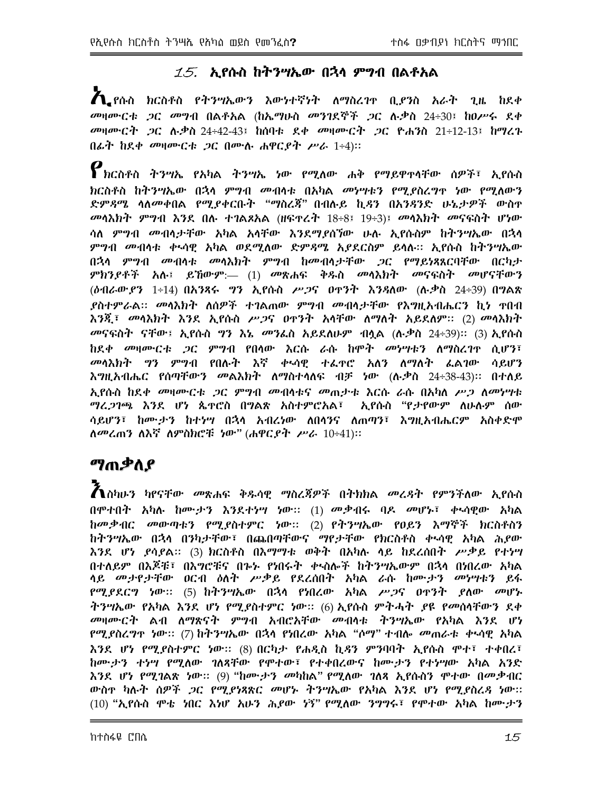## $15$ . ኢየሱስ ከትንሣኤው በኋላ ምግብ በልቶአል

 $\bigwedge$  ያሱስ ክርስቶስ የተንሣኤውን እውነተኛነት ለማስረገተ ቢያንስ አራት ጊዜ ከደቀ መዛሙርቱ *ጋ*ር መግብ በልቶአል (ከኤማሁስ መንገደኞች *ጋ*ር ሉቃስ 24÷30፤ ከዐሥሩ ደቀ መዛሙርት *ጋ*ር ሉ*ቃ*ስ 24÷42-43፤ ከሰባቱ ደቀ መዛሙርት *ጋ*ር ዮሐንስ 21÷12-13፤ ከማረጉ በፊት ከደቀ መዛሙርቱ ጋር በሙሉ ሐዋርያት ሥራ 1÷4)።

 $\bm{\mathcal{P}}$ ክርስቶስ ትንሣኤ የአካል ትንሣኤ ነው የሚለው ሐቅ የማይዋዋሳቸው ሰዎች፣ ኢየሱስ <u>ክርስቶስ ከትንሣኤው በኋላ ምッብ መብላቱ በአካል መነሣቱን የማያስረግጥ ነው የማለውን</u> ድምዳሜ ሳለመቀበል የሚያቀርቡት "ማስረጃ" በብሉይ ኪዳን በአንዳንድ ሁኔታዎች ውስዋ መሳእክት ምግብ እንደ በሉ ተገልጾአል (ዘፍዋሬት 18÷8፤ 19÷3)፤ መሳእክት መናፍስት ሆነው ሳለ ም*ግ*ብ መብላታቸው አካል አሳቸው እንደማያሰኘው ሁሉ ኢየሱስም ከትንሣኤው በኋላ ምግብ መብሳቱ ቀኣሳዊ አካል ወደሚለው ድም*ጻሜ* አ*ያ*ደርስም ይሳሉ፡፡ ኢየሱስ ከትንሣኤው በኋላ ምግብ መብላቱ መላእክት ምግብ ከመብላታቸው ጋር የማይነጻጸርባቸው በርካታ ምክንያቶች አሉ፤ ይኸውም:— (1) መጽሐፍ ቅዱስ መሳእክት መናፍስት መሆናቸውን (*ծብራውያን* 1÷14) በአንጻሩ *ግን* ኢየሱስ ሥ*ጋ*ና ዐዋንት እንጻለው (ሉቃስ 24÷39) በግልጽ *ያስተምራል። መሳ*እክት ለሰዎች ተገልጠው ምግብ መብሳታቸው የእግዚአብሔርን ኪነ ተበብ እንጂ፣ መሳእክት እንደ ኢየሱስ ሥ*ጋ*ና ዐዋንት አሳቸው ለማለት አይደለም። (2) መሳእክት መናፍስት ናቸው፤ ኢየሱስ ግን እኔ መንፌስ አይደለሁም ብሏል (ሉ.ቃስ 24÷39)፡፡ (3) ኢየሱስ ከደቀ መዛሙርቱ *ጋ*ር ምግብ የበሳው እርሱ ራሱ ከሞት መነሣቱን ለማስረገዋ ሲሆን፣ መሳእክት ግን ምግብ የበሉት እኛ ቀኑሳዊ ተፌተሮ አለን ለማለት ፌልገው ሳይሆን እግዚአብሔር የሰጣቸውን መልእክት ለማስተሳለፍ ብቻ ነው (ሉ.ቃስ 24÷38-43)፡፡ በተለይ <u>አያሱስ ከደቀ መዛሙርቱ ጋር ምግብ መብሳቱና መጠታቱ እርሱ ራሱ በአካለ ሥጋ ለመነሣቱ</u> ማረ*ጋገጫ እን*ደ ሆነ ጴዋሮስ በግልጽ አስተምሮአል፣ ኢየሱስ "የታየውም ለሁሉም ሰው ሳይሆን፣ ከሙታን ከተነሣ በኋላ አብሪነው ለበሳንና ለጠጣን፣ እግዚአብሔርም አስቀድሞ ለመረጠን ለእኛ ለምስክሮቹ ነው" (ሐዋርያት ሥራ 10÷41)።

# ማጠቃስያ

 $\bm{\tilde{A}}$ ስካሁን ካየናቸው መጽሐፍ ቅዱሳዊ ማስረጃዎች በትክክል መረዳት የምንችለው ኢየሱስ በሞተበት አካሉ ከሙታን እንደተነሣ ነው:: (1) መቃብሩ ባዶ መሆኑ፣ ቀኣሳዊው አካል ከመቃብር መውጣቱን የሚያስተምር ነው። (2) የትንሣኤው የዐይን እማኞች ክርስቶስን ከትንሣኤው በኋላ በንካታቸው፣ በጨበጣቸውና ማየታቸው የክርስቶስ ቀኣሳዊ አካል ሕያው እንደ ሆነ ደሳደል፡፡ (3) ክርስቶስ በእማማቱ ወቅት በአካሉ ላይ ከደረሰበት ሥቃይ የተነሣ በተለይም በእጆቹ፣ በእግሮቹና በኈኍ የነበሩት ቀኑስሎች ከትንሣኤውም በኋላ በነበረው አካል ሳይ መታየታቸው ዐርብ ዕለት ሥቃይ የደረሰበት አካል ራሱ ከሙታን መነሣቱን ይፋ የሚያደርግ ነው። (5) ከተንሣኤው በኋላ የነበረው አካል ሥ*ጋ*ና ዐዋንት ያለው መሆኑ ትንሣኤው የአካል እንደ ሆነ የሚያስተምር ነው። (6) ኢየሱስ ምትሓት ያዩ የመሰላቸውን ደቀ *መ*ዛሙርት ልብ ለማጽናት ምንብ አብሮአቸው መብሳቱ ትንሣኤው የአካል እንደ ሆነ *የሚያ*ስረ*ግ*ዋ ነው፡፡ (7) ከትንሣኤው በኋላ የነበረው አካል "ሶማ" ተብሎ *መ*ጠራቱ ቀኣሳዊ አካል እንደ ሆነ የሚያስተምር ነው፡፡ (8) በርካታ የሐዲስ ኪዳን ምንባባት ኢየሱስ ሞተ፣ ተቀበረ፣ ከሙታን ተነሣ የሚለው ገለጻቸው የሞተው፣ የተቀበረውና ከሙታን የተነሣው አካል አንድ እንደ ሆነ የሚገልጽ ነው። (9) "ከሙታን መካከል" የሚለው ገለጻ ኢየሱስን ሞተው በመቃብር ውስዋ ካሉት ሰዎች *ጋ*ር የሚያነጻጽር መሆኑ ትንሣኤው የአካል እንደ ሆነ የሚያስረ*ጻ* ነው። (10) "ኢየሱስ ሞቴ ነበር እነሆ አሁን ሕይው ነኝ" የሚለው ንግግሩ፣ የሞተው አካል ከሙታን